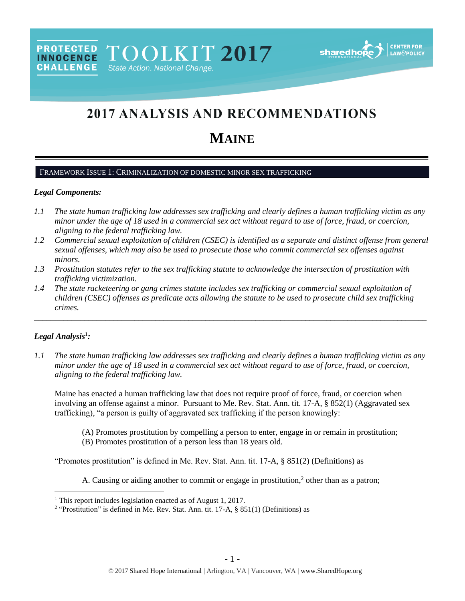# 2017 ANALYSIS AND RECOMMENDATIONS

# **MAINE**

#### FRAMEWORK ISSUE 1: CRIMINALIZATION OF DOMESTIC MINOR SEX TRAFFICKING

PROTECTED TOOLKIT 2017

State Action. National Change.

#### *Legal Components:*

**CHALLENGE** 

- *1.1 The state human trafficking law addresses sex trafficking and clearly defines a human trafficking victim as any minor under the age of 18 used in a commercial sex act without regard to use of force, fraud, or coercion, aligning to the federal trafficking law.*
- *1.2 Commercial sexual exploitation of children (CSEC) is identified as a separate and distinct offense from general sexual offenses, which may also be used to prosecute those who commit commercial sex offenses against minors.*
- *1.3 Prostitution statutes refer to the sex trafficking statute to acknowledge the intersection of prostitution with trafficking victimization.*
- *1.4 The state racketeering or gang crimes statute includes sex trafficking or commercial sexual exploitation of children (CSEC) offenses as predicate acts allowing the statute to be used to prosecute child sex trafficking crimes.*

\_\_\_\_\_\_\_\_\_\_\_\_\_\_\_\_\_\_\_\_\_\_\_\_\_\_\_\_\_\_\_\_\_\_\_\_\_\_\_\_\_\_\_\_\_\_\_\_\_\_\_\_\_\_\_\_\_\_\_\_\_\_\_\_\_\_\_\_\_\_\_\_\_\_\_\_\_\_\_\_\_\_\_\_\_\_\_\_\_\_\_\_\_\_

## *Legal Analysis*<sup>1</sup> *:*

 $\overline{a}$ 

*1.1 The state human trafficking law addresses sex trafficking and clearly defines a human trafficking victim as any minor under the age of 18 used in a commercial sex act without regard to use of force, fraud, or coercion, aligning to the federal trafficking law.*

Maine has enacted a human trafficking law that does not require proof of force, fraud, or coercion when involving an offense against a minor. Pursuant to Me. Rev. Stat. Ann. tit. 17-A, § 852(1) (Aggravated sex trafficking), "a person is guilty of aggravated sex trafficking if the person knowingly:

- (A) Promotes prostitution by compelling a person to enter, engage in or remain in prostitution;
- (B) Promotes prostitution of a person less than 18 years old.

"Promotes prostitution" is defined in Me. Rev. Stat. Ann. tit. 17-A, § 851(2) (Definitions) as

<span id="page-0-0"></span>A. Causing or aiding another to commit or engage in prostitution, $<sup>2</sup>$  other than as a patron;</sup>

<sup>&</sup>lt;sup>1</sup> This report includes legislation enacted as of August 1, 2017.

<sup>&</sup>lt;sup>2</sup> "Prostitution" is defined in Me. Rev. Stat. Ann. tit. 17-A, § 851(1) (Definitions) as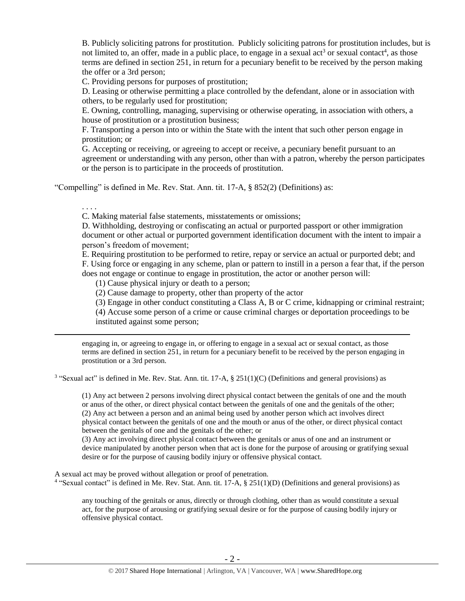<span id="page-1-0"></span>B. Publicly soliciting patrons for prostitution. Publicly soliciting patrons for prostitution includes, but is not limited to, an offer, made in a public place, to engage in a sexual act<sup>3</sup> or sexual contact<sup>4</sup>, as those terms are defined in section 251, in return for a pecuniary benefit to be received by the person making the offer or a 3rd person;

C. Providing persons for purposes of prostitution;

D. Leasing or otherwise permitting a place controlled by the defendant, alone or in association with others, to be regularly used for prostitution;

E. Owning, controlling, managing, supervising or otherwise operating, in association with others, a house of prostitution or a prostitution business;

F. Transporting a person into or within the State with the intent that such other person engage in prostitution; or

G. Accepting or receiving, or agreeing to accept or receive, a pecuniary benefit pursuant to an agreement or understanding with any person, other than with a patron, whereby the person participates or the person is to participate in the proceeds of prostitution.

"Compelling" is defined in Me. Rev. Stat. Ann. tit. 17-A, § 852(2) (Definitions) as:

. . . .

 $\overline{a}$ 

C. Making material false statements, misstatements or omissions;

D. Withholding, destroying or confiscating an actual or purported passport or other immigration document or other actual or purported government identification document with the intent to impair a person's freedom of movement;

E. Requiring prostitution to be performed to retire, repay or service an actual or purported debt; and F. Using force or engaging in any scheme, plan or pattern to instill in a person a fear that, if the person does not engage or continue to engage in prostitution, the actor or another person will:

(1) Cause physical injury or death to a person;

(2) Cause damage to property, other than property of the actor

(3) Engage in other conduct constituting a Class A, B or C crime, kidnapping or criminal restraint;

(4) Accuse some person of a crime or cause criminal charges or deportation proceedings to be instituted against some person;

engaging in, or agreeing to engage in, or offering to engage in a sexual act or sexual contact, as those terms are defined in section 251, in return for a pecuniary benefit to be received by the person engaging in prostitution or a 3rd person.

<sup>3</sup> "Sexual act" is defined in Me. Rev. Stat. Ann. tit. 17-A, § 251(1)(C) (Definitions and general provisions) as

(1) Any act between 2 persons involving direct physical contact between the genitals of one and the mouth or anus of the other, or direct physical contact between the genitals of one and the genitals of the other; (2) Any act between a person and an animal being used by another person which act involves direct physical contact between the genitals of one and the mouth or anus of the other, or direct physical contact between the genitals of one and the genitals of the other; or

(3) Any act involving direct physical contact between the genitals or anus of one and an instrument or device manipulated by another person when that act is done for the purpose of arousing or gratifying sexual desire or for the purpose of causing bodily injury or offensive physical contact.

A sexual act may be proved without allegation or proof of penetration.

<sup>4</sup> "Sexual contact" is defined in Me. Rev. Stat. Ann. tit. 17-A, § 251(1)(D) (Definitions and general provisions) as

any touching of the genitals or anus, directly or through clothing, other than as would constitute a sexual act, for the purpose of arousing or gratifying sexual desire or for the purpose of causing bodily injury or offensive physical contact.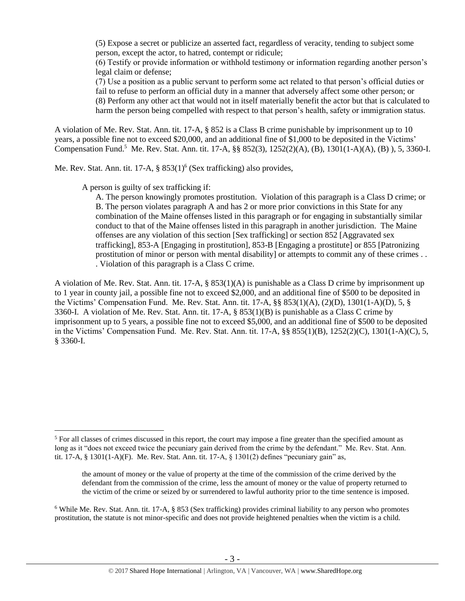(5) Expose a secret or publicize an asserted fact, regardless of veracity, tending to subject some person, except the actor, to hatred, contempt or ridicule;

(6) Testify or provide information or withhold testimony or information regarding another person's legal claim or defense;

(7) Use a position as a public servant to perform some act related to that person's official duties or fail to refuse to perform an official duty in a manner that adversely affect some other person; or (8) Perform any other act that would not in itself materially benefit the actor but that is calculated to harm the person being compelled with respect to that person's health, safety or immigration status.

A violation of Me. Rev. Stat. Ann. tit. 17-A, § 852 is a Class B crime punishable by imprisonment up to 10 years, a possible fine not to exceed \$20,000, and an additional fine of \$1,000 to be deposited in the Victims' Compensation Fund.<sup>5</sup> Me. Rev. Stat. Ann. tit. 17-A, §§ 852(3), 1252(2)(A), (B), 1301(1-A)(A), (B)), 5, 3360-I.

Me. Rev. Stat. Ann. tit. 17-A, § 853(1)<sup>6</sup> (Sex trafficking) also provides,

A person is guilty of sex trafficking if:

 $\overline{a}$ 

<span id="page-2-0"></span>A. The person knowingly promotes prostitution. Violation of this paragraph is a Class D crime; or B. The person violates paragraph A and has 2 or more prior convictions in this State for any combination of the Maine offenses listed in this paragraph or for engaging in substantially similar conduct to that of the Maine offenses listed in this paragraph in another jurisdiction. The Maine offenses are any violation of this section [Sex trafficking] or section 852 [Aggravated sex trafficking], 853-A [Engaging in prostitution], 853-B [Engaging a prostitute] or 855 [Patronizing prostitution of minor or person with mental disability] or attempts to commit any of these crimes . . . Violation of this paragraph is a Class C crime.

A violation of Me. Rev. Stat. Ann. tit. 17-A, § 853(1)(A) is punishable as a Class D crime by imprisonment up to 1 year in county jail, a possible fine not to exceed \$2,000, and an additional fine of \$500 to be deposited in the Victims' Compensation Fund. Me. Rev. Stat. Ann. tit. 17-A, §§ 853(1)(A), (2)(D), 1301(1-A)(D), 5, § 3360-I. A violation of Me. Rev. Stat. Ann. tit. 17-A, § 853(1)(B) is punishable as a Class C crime by imprisonment up to 5 years, a possible fine not to exceed \$5,000, and an additional fine of \$500 to be deposited in the Victims' Compensation Fund. Me. Rev. Stat. Ann. tit. 17-A, §§ 855(1)(B), 1252(2)(C), 1301(1-A)(C), 5, § 3360-I.

<sup>&</sup>lt;sup>5</sup> For all classes of crimes discussed in this report, the court may impose a fine greater than the specified amount as long as it "does not exceed twice the pecuniary gain derived from the crime by the defendant." Me. Rev. Stat. Ann. tit. 17-A,  $\S$  1301(1-A)(F). Me. Rev. Stat. Ann. tit. 17-A,  $\S$  1301(2) defines "pecuniary gain" as,

the amount of money or the value of property at the time of the commission of the crime derived by the defendant from the commission of the crime, less the amount of money or the value of property returned to the victim of the crime or seized by or surrendered to lawful authority prior to the time sentence is imposed.

 $6$  While Me. Rev. Stat. Ann. tit. 17-A,  $\S$  853 (Sex trafficking) provides criminal liability to any person who promotes prostitution, the statute is not minor-specific and does not provide heightened penalties when the victim is a child.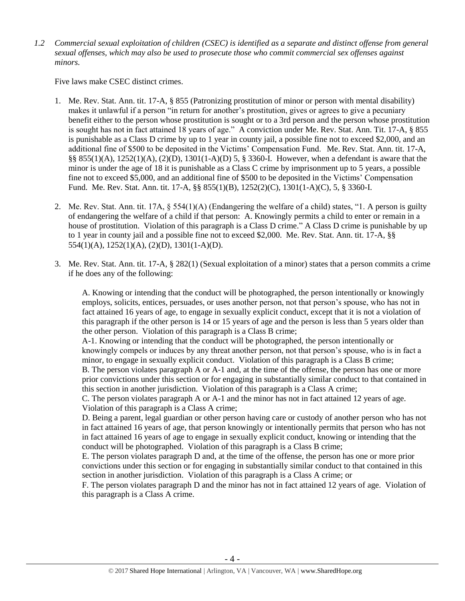*1.2 Commercial sexual exploitation of children (CSEC) is identified as a separate and distinct offense from general sexual offenses, which may also be used to prosecute those who commit commercial sex offenses against minors.*

Five laws make CSEC distinct crimes.

- 1. Me. Rev. Stat. Ann. tit. 17-A, § 855 (Patronizing prostitution of minor or person with mental disability) makes it unlawful if a person "in return for another's prostitution, gives or agrees to give a pecuniary benefit either to the person whose prostitution is sought or to a 3rd person and the person whose prostitution is sought has not in fact attained 18 years of age." A conviction under Me. Rev. Stat. Ann. Tit. 17-A, § 855 is punishable as a Class D crime by up to 1 year in county jail, a possible fine not to exceed \$2,000, and an additional fine of \$500 to be deposited in the Victims' Compensation Fund. Me. Rev. Stat. Ann. tit. 17-A, §§ 855(1)(A), 1252(1)(A), (2)(D), 1301(1-A)(D) 5, § 3360-I. However, when a defendant is aware that the minor is under the age of 18 it is punishable as a Class C crime by imprisonment up to 5 years, a possible fine not to exceed \$5,000, and an additional fine of \$500 to be deposited in the Victims' Compensation Fund. Me. Rev. Stat. Ann. tit. 17-A, §§ 855(1)(B), 1252(2)(C), 1301(1-A)(C), 5, § 3360-I.
- 2. Me. Rev. Stat. Ann. tit. 17A, § 554(1)(A) (Endangering the welfare of a child) states, "1. A person is guilty of endangering the welfare of a child if that person: A. Knowingly permits a child to enter or remain in a house of prostitution. Violation of this paragraph is a Class D crime." A Class D crime is punishable by up to 1 year in county jail and a possible fine not to exceed \$2,000. Me. Rev. Stat. Ann. tit. 17-A, §§ 554(1)(A), 1252(1)(A), (2)(D), 1301(1-A)(D).
- 3. Me. Rev. Stat. Ann. tit. 17-A, § 282(1) (Sexual exploitation of a minor) states that a person commits a crime if he does any of the following:

A. Knowing or intending that the conduct will be photographed, the person intentionally or knowingly employs, solicits, entices, persuades, or uses another person, not that person's spouse, who has not in fact attained 16 years of age, to engage in sexually explicit conduct, except that it is not a violation of this paragraph if the other person is 14 or 15 years of age and the person is less than 5 years older than the other person. Violation of this paragraph is a Class B crime;

A-1. Knowing or intending that the conduct will be photographed, the person intentionally or knowingly compels or induces by any threat another person, not that person's spouse, who is in fact a minor, to engage in sexually explicit conduct. Violation of this paragraph is a Class B crime; B. The person violates paragraph A or A-1 and, at the time of the offense, the person has one or more prior convictions under this section or for engaging in substantially similar conduct to that contained in

this section in another jurisdiction. Violation of this paragraph is a Class A crime; C. The person violates paragraph A or A-1 and the minor has not in fact attained 12 years of age. Violation of this paragraph is a Class A crime;

D. Being a parent, legal guardian or other person having care or custody of another person who has not in fact attained 16 years of age, that person knowingly or intentionally permits that person who has not in fact attained 16 years of age to engage in sexually explicit conduct, knowing or intending that the conduct will be photographed. Violation of this paragraph is a Class B crime;

E. The person violates paragraph D and, at the time of the offense, the person has one or more prior convictions under this section or for engaging in substantially similar conduct to that contained in this section in another jurisdiction. Violation of this paragraph is a Class A crime; or

F. The person violates paragraph D and the minor has not in fact attained 12 years of age. Violation of this paragraph is a Class A crime.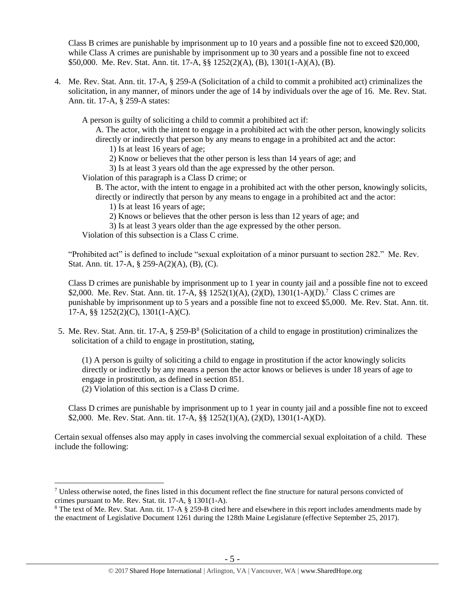Class B crimes are punishable by imprisonment up to 10 years and a possible fine not to exceed \$20,000, while Class A crimes are punishable by imprisonment up to 30 years and a possible fine not to exceed \$50,000. Me. Rev. Stat. Ann. tit. 17-A, §§ 1252(2)(A), (B), 1301(1-A)(A), (B).

4. Me. Rev. Stat. Ann. tit. 17-A, § 259-A (Solicitation of a child to commit a prohibited act) criminalizes the solicitation, in any manner, of minors under the age of 14 by individuals over the age of 16. Me. Rev. Stat. Ann. tit. 17-A, § 259-A states:

A person is guilty of soliciting a child to commit a prohibited act if:

A. The actor, with the intent to engage in a prohibited act with the other person, knowingly solicits directly or indirectly that person by any means to engage in a prohibited act and the actor:

1) Is at least 16 years of age;

2) Know or believes that the other person is less than 14 years of age; and

3) Is at least 3 years old than the age expressed by the other person.

Violation of this paragraph is a Class D crime; or

B. The actor, with the intent to engage in a prohibited act with the other person, knowingly solicits, directly or indirectly that person by any means to engage in a prohibited act and the actor:

- 1) Is at least 16 years of age;
- 2) Knows or believes that the other person is less than 12 years of age; and
- 3) Is at least 3 years older than the age expressed by the other person.

Violation of this subsection is a Class C crime.

"Prohibited act" is defined to include "sexual exploitation of a minor pursuant to section 282." Me. Rev. Stat. Ann. tit. 17-A, § 259-A(2)(A), (B), (C).

Class D crimes are punishable by imprisonment up to 1 year in county jail and a possible fine not to exceed \$2,000. Me. Rev. Stat. Ann. tit. 17-A,  $\S$  $\S$  1252(1)(A), (2)(D), 1301(1-A)(D).<sup>7</sup> Class C crimes are punishable by imprisonment up to 5 years and a possible fine not to exceed \$5,000. Me. Rev. Stat. Ann. tit. 17-A, §§ 1252(2)(C), 1301(1-A)(C).

5. Me. Rev. Stat. Ann. tit. 17-A, § 259-B<sup>8</sup> (Solicitation of a child to engage in prostitution) criminalizes the solicitation of a child to engage in prostitution, stating,

<span id="page-4-0"></span>(1) A person is guilty of soliciting a child to engage in prostitution if the actor knowingly solicits directly or indirectly by any means a person the actor knows or believes is under 18 years of age to engage in prostitution, as defined in section 851.

(2) Violation of this section is a Class D crime.

 $\overline{a}$ 

Class D crimes are punishable by imprisonment up to 1 year in county jail and a possible fine not to exceed \$2,000. Me. Rev. Stat. Ann. tit. 17-A, §§ 1252(1)(A), (2)(D), 1301(1-A)(D).

Certain sexual offenses also may apply in cases involving the commercial sexual exploitation of a child. These include the following:

 $<sup>7</sup>$  Unless otherwise noted, the fines listed in this document reflect the fine structure for natural persons convicted of</sup> crimes pursuant to Me. Rev. Stat. tit. 17-A, § 1301(1-A).

<sup>&</sup>lt;sup>8</sup> The text of Me. Rev. Stat. Ann. tit. 17-A § 259-B cited here and elsewhere in this report includes amendments made by the enactment of Legislative Document 1261 during the 128th Maine Legislature (effective September 25, 2017).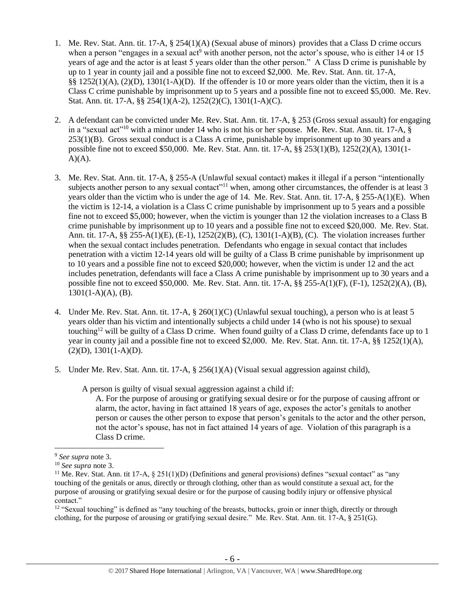- 1. Me. Rev. Stat. Ann. tit. 17-A, § 254(1)(A) (Sexual abuse of minors) provides that a Class D crime occurs when a person "engages in a sexual act<sup>9</sup> with another person, not the actor's spouse, who is either 14 or 15 years of age and the actor is at least 5 years older than the other person." A Class D crime is punishable by up to 1 year in county jail and a possible fine not to exceed \$2,000. Me. Rev. Stat. Ann. tit. 17-A, §§ 1252(1)(A), (2)(D), 1301(1-A)(D). If the offender is 10 or more years older than the victim, then it is a Class C crime punishable by imprisonment up to 5 years and a possible fine not to exceed \$5,000. Me. Rev. Stat. Ann. tit. 17-A, §§ 254(1)(A-2), 1252(2)(C), 1301(1-A)(C).
- 2. A defendant can be convicted under Me. Rev. Stat. Ann. tit. 17-A, § 253 (Gross sexual assault) for engaging in a "sexual act"<sup>10</sup> with a minor under 14 who is not his or her spouse. Me. Rev. Stat. Ann. tit. 17-A, § 253(1)(B). Gross sexual conduct is a Class A crime, punishable by imprisonment up to 30 years and a possible fine not to exceed \$50,000. Me. Rev. Stat. Ann. tit. 17-A, §§ 253(1)(B), 1252(2)(A), 1301(1-  $A)(A)$ .
- 3. Me. Rev. Stat. Ann. tit. 17-A, § 255-A (Unlawful sexual contact) makes it illegal if a person "intentionally subjects another person to any sexual contact<sup>"11</sup> when, among other circumstances, the offender is at least 3 years older than the victim who is under the age of 14. Me. Rev. Stat. Ann. tit. 17-A, § 255-A(1)(E). When the victim is 12-14, a violation is a Class C crime punishable by imprisonment up to 5 years and a possible fine not to exceed \$5,000; however, when the victim is younger than 12 the violation increases to a Class B crime punishable by imprisonment up to 10 years and a possible fine not to exceed \$20,000. Me. Rev. Stat. Ann. tit. 17-A, §§ 255-A(1)(E), (E-1), 1252(2)(B), (C), 1301(1-A)(B), (C). The violation increases further when the sexual contact includes penetration. Defendants who engage in sexual contact that includes penetration with a victim 12-14 years old will be guilty of a Class B crime punishable by imprisonment up to 10 years and a possible fine not to exceed \$20,000; however, when the victim is under 12 and the act includes penetration, defendants will face a Class A crime punishable by imprisonment up to 30 years and a possible fine not to exceed \$50,000. Me. Rev. Stat. Ann. tit. 17-A, §§ 255-A(1)(F), (F-1), 1252(2)(A), (B),  $1301(1-A)(A)$ , (B).
- 4. Under Me. Rev. Stat. Ann. tit. 17-A, § 260(1)(C) (Unlawful sexual touching), a person who is at least 5 years older than his victim and intentionally subjects a child under 14 (who is not his spouse) to sexual touching<sup>12</sup> will be guilty of a Class D crime. When found guilty of a Class D crime, defendants face up to 1 year in county jail and a possible fine not to exceed \$2,000. Me. Rev. Stat. Ann. tit. 17-A, §§ 1252(1)(A),  $(2)(D), 1301(1-A)(D).$
- 5. Under Me. Rev. Stat. Ann. tit. 17-A, § 256(1)(A) (Visual sexual aggression against child),

A person is guilty of visual sexual aggression against a child if:

A. For the purpose of arousing or gratifying sexual desire or for the purpose of causing affront or alarm, the actor, having in fact attained 18 years of age, exposes the actor's genitals to another person or causes the other person to expose that person's genitals to the actor and the other person, not the actor's spouse, has not in fact attained 14 years of age. Violation of this paragraph is a Class D crime.

<sup>9</sup> *See supra* note [3.](#page-1-0)

<sup>10</sup> *See supra* note [3.](#page-1-0)

<sup>&</sup>lt;sup>11</sup> Me. Rev. Stat. Ann. tit 17-A,  $\S 251(1)(D)$  (Definitions and general provisions) defines "sexual contact" as "any touching of the genitals or anus, directly or through clothing, other than as would constitute a sexual act, for the purpose of arousing or gratifying sexual desire or for the purpose of causing bodily injury or offensive physical contact."

 $12$  "Sexual touching" is defined as "any touching of the breasts, buttocks, groin or inner thigh, directly or through clothing, for the purpose of arousing or gratifying sexual desire." Me. Rev. Stat. Ann. tit. 17-A, § 251(G).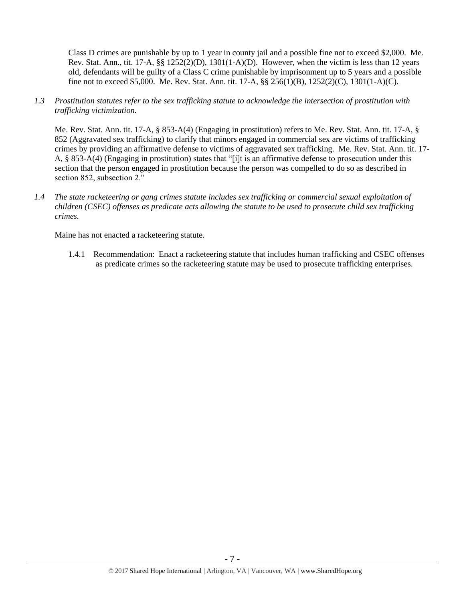Class D crimes are punishable by up to 1 year in county jail and a possible fine not to exceed \$2,000. Me. Rev. Stat. Ann., tit. 17-A,  $\S$ § 1252(2)(D), 1301(1-A)(D). However, when the victim is less than 12 years old, defendants will be guilty of a Class C crime punishable by imprisonment up to 5 years and a possible fine not to exceed \$5,000. Me. Rev. Stat. Ann. tit. 17-A, §§ 256(1)(B), 1252(2)(C), 1301(1-A)(C).

*1.3 Prostitution statutes refer to the sex trafficking statute to acknowledge the intersection of prostitution with trafficking victimization.* 

Me. Rev. Stat. Ann. tit. 17-A, § 853-A(4) (Engaging in prostitution) refers to Me. Rev. Stat. Ann. tit. 17-A, § 852 (Aggravated sex trafficking) to clarify that minors engaged in commercial sex are victims of trafficking crimes by providing an affirmative defense to victims of aggravated sex trafficking. Me. Rev. Stat. Ann. tit. 17- A, § 853-A(4) (Engaging in prostitution) states that "[i]t is an affirmative defense to prosecution under this section that the person engaged in prostitution because the person was compelled to do so as described in section 852, subsection 2."

*1.4 The state racketeering or gang crimes statute includes sex trafficking or commercial sexual exploitation of children (CSEC) offenses as predicate acts allowing the statute to be used to prosecute child sex trafficking crimes.* 

Maine has not enacted a racketeering statute.

1.4.1 Recommendation: Enact a racketeering statute that includes human trafficking and CSEC offenses as predicate crimes so the racketeering statute may be used to prosecute trafficking enterprises.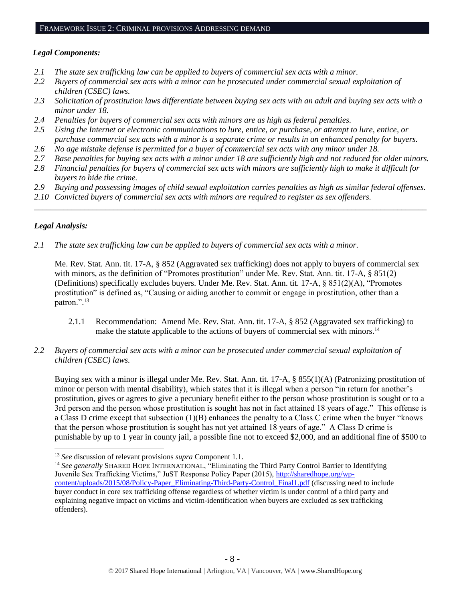#### *Legal Components:*

- *2.1 The state sex trafficking law can be applied to buyers of commercial sex acts with a minor.*
- *2.2 Buyers of commercial sex acts with a minor can be prosecuted under commercial sexual exploitation of children (CSEC) laws.*
- *2.3 Solicitation of prostitution laws differentiate between buying sex acts with an adult and buying sex acts with a minor under 18.*
- *2.4 Penalties for buyers of commercial sex acts with minors are as high as federal penalties.*
- *2.5 Using the Internet or electronic communications to lure, entice, or purchase, or attempt to lure, entice, or purchase commercial sex acts with a minor is a separate crime or results in an enhanced penalty for buyers.*
- *2.6 No age mistake defense is permitted for a buyer of commercial sex acts with any minor under 18.*
- *2.7 Base penalties for buying sex acts with a minor under 18 are sufficiently high and not reduced for older minors.*
- *2.8 Financial penalties for buyers of commercial sex acts with minors are sufficiently high to make it difficult for buyers to hide the crime.*
- *2.9 Buying and possessing images of child sexual exploitation carries penalties as high as similar federal offenses.*

\_\_\_\_\_\_\_\_\_\_\_\_\_\_\_\_\_\_\_\_\_\_\_\_\_\_\_\_\_\_\_\_\_\_\_\_\_\_\_\_\_\_\_\_\_\_\_\_\_\_\_\_\_\_\_\_\_\_\_\_\_\_\_\_\_\_\_\_\_\_\_\_\_\_\_\_\_\_\_\_\_\_\_\_\_\_\_\_\_\_\_\_\_\_

*2.10 Convicted buyers of commercial sex acts with minors are required to register as sex offenders.*

## *Legal Analysis:*

 $\overline{a}$ 

*2.1 The state sex trafficking law can be applied to buyers of commercial sex acts with a minor.* 

Me. Rev. Stat. Ann. tit. 17-A, § 852 (Aggravated sex trafficking) does not apply to buyers of commercial sex with minors, as the definition of "Promotes prostitution" under Me. Rev. Stat. Ann. tit. 17-A, § 851(2) (Definitions) specifically excludes buyers. Under Me. Rev. Stat. Ann. tit. 17-A, § 851(2)(A), "Promotes prostitution" is defined as, "Causing or aiding another to commit or engage in prostitution, other than a patron.".<sup>13</sup>

- 2.1.1 Recommendation: Amend Me. Rev. Stat. Ann. tit. 17-A, § 852 (Aggravated sex trafficking) to make the statute applicable to the actions of buyers of commercial sex with minors.<sup>14</sup>
- *2.2 Buyers of commercial sex acts with a minor can be prosecuted under commercial sexual exploitation of children (CSEC) laws.*

Buying sex with a minor is illegal under Me. Rev. Stat. Ann. tit. 17-A, § 855(1)(A) (Patronizing prostitution of minor or person with mental disability), which states that it is illegal when a person "in return for another's prostitution, gives or agrees to give a pecuniary benefit either to the person whose prostitution is sought or to a 3rd person and the person whose prostitution is sought has not in fact attained 18 years of age." This offense is a Class D crime except that subsection (1)(B) enhances the penalty to a Class C crime when the buyer "knows that the person whose prostitution is sought has not yet attained 18 years of age." A Class D crime is punishable by up to 1 year in county jail, a possible fine not to exceed \$2,000, and an additional fine of \$500 to

<sup>13</sup> *See* discussion of relevant provisions *supra* Component 1.1.

<sup>&</sup>lt;sup>14</sup> See generally SHARED HOPE INTERNATIONAL, "Eliminating the Third Party Control Barrier to Identifying Juvenile Sex Trafficking Victims," JuST Response Policy Paper (2015), [http://sharedhope.org/wp](http://sharedhope.org/wp-content/uploads/2015/08/Policy-Paper_Eliminating-Third-Party-Control_Final1.pdf)[content/uploads/2015/08/Policy-Paper\\_Eliminating-Third-Party-Control\\_Final1.pdf](http://sharedhope.org/wp-content/uploads/2015/08/Policy-Paper_Eliminating-Third-Party-Control_Final1.pdf) (discussing need to include buyer conduct in core sex trafficking offense regardless of whether victim is under control of a third party and explaining negative impact on victims and victim-identification when buyers are excluded as sex trafficking offenders).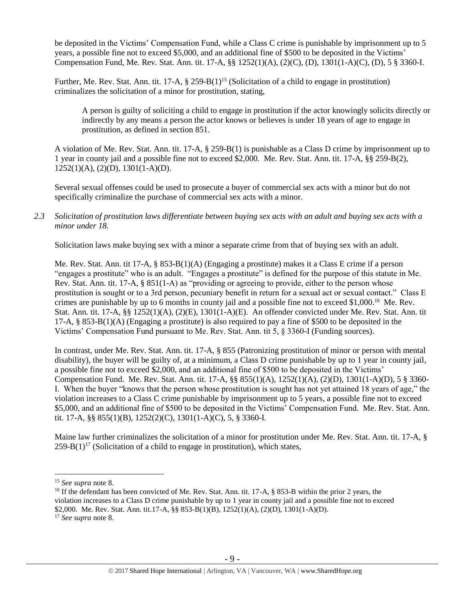be deposited in the Victims' Compensation Fund, while a Class C crime is punishable by imprisonment up to 5 years, a possible fine not to exceed \$5,000, and an additional fine of \$500 to be deposited in the Victims' Compensation Fund, Me. Rev. Stat. Ann. tit. 17-A, §§ 1252(1)(A), (2)(C), (D), 1301(1-A)(C), (D), 5 § 3360-I.

Further, Me. Rev. Stat. Ann. tit. 17-A,  $\S 259-B(1)$ <sup>15</sup> (Solicitation of a child to engage in prostitution) criminalizes the solicitation of a minor for prostitution, stating,

A person is guilty of soliciting a child to engage in prostitution if the actor knowingly solicits directly or indirectly by any means a person the actor knows or believes is under 18 years of age to engage in prostitution, as defined in section 851.

A violation of Me. Rev. Stat. Ann. tit. 17-A, § 259-B(1) is punishable as a Class D crime by imprisonment up to 1 year in county jail and a possible fine not to exceed \$2,000. Me. Rev. Stat. Ann. tit. 17-A, §§ 259-B(2), 1252(1)(A), (2)(D), 1301(1-A)(D).

Several sexual offenses could be used to prosecute a buyer of commercial sex acts with a minor but do not specifically criminalize the purchase of commercial sex acts with a minor.

## *2.3 Solicitation of prostitution laws differentiate between buying sex acts with an adult and buying sex acts with a minor under 18.*

Solicitation laws make buying sex with a minor a separate crime from that of buying sex with an adult.

Me. Rev. Stat. Ann. tit 17-A, § 853-B(1)(A) (Engaging a prostitute) makes it a Class E crime if a person "engages a prostitute" who is an adult. "Engages a prostitute" is defined for the purpose of this statute in Me. Rev. Stat. Ann. tit. 17-A, § 851(1-A) as "providing or agreeing to provide, either to the person whose prostitution is sought or to a 3rd person, pecuniary benefit in return for a sexual act or sexual contact." Class E crimes are punishable by up to 6 months in county jail and a possible fine not to exceed \$1,000.<sup>16</sup> Me. Rev. Stat. Ann. tit. 17-A, §§ 1252(1)(A), (2)(E), 1301(1-A)(E). An offender convicted under Me. Rev. Stat. Ann. tit 17-A, § 853-B(1)(A) (Engaging a prostitute) is also required to pay a fine of \$500 to be deposited in the Victims' Compensation Fund pursuant to Me. Rev. Stat. Ann. tit 5, § 3360-I (Funding sources).

In contrast, under Me. Rev. Stat. Ann. tit. 17-A, § 855 (Patronizing prostitution of minor or person with mental disability), the buyer will be guilty of, at a minimum, a Class D crime punishable by up to 1 year in county jail, a possible fine not to exceed \$2,000, and an additional fine of \$500 to be deposited in the Victims' Compensation Fund. Me. Rev. Stat. Ann. tit. 17-A, §§ 855(1)(A), 1252(1)(A), (2)(D), 1301(1-A)(D), 5 § 3360- I. When the buyer "knows that the person whose prostitution is sought has not yet attained 18 years of age," the violation increases to a Class C crime punishable by imprisonment up to 5 years, a possible fine not to exceed \$5,000, and an additional fine of \$500 to be deposited in the Victims' Compensation Fund. Me. Rev. Stat. Ann. tit. 17-A, §§ 855(1)(B), 1252(2)(C), 1301(1-A)(C), 5, § 3360-I.

Maine law further criminalizes the solicitation of a minor for prostitution under Me. Rev. Stat. Ann. tit. 17-A, §  $259-B(1)^{17}$  (Solicitation of a child to engage in prostitution), which states,

<sup>15</sup> *See supra* note [8.](#page-4-0)

<sup>&</sup>lt;sup>16</sup> If the defendant has been convicted of Me. Rev. Stat. Ann. tit. 17-A, § 853-B within the prior 2 years, the violation increases to a Class D crime punishable by up to 1 year in county jail and a possible fine not to exceed \$2,000. Me. Rev. Stat. Ann. tit.17-A, §§ 853-B(1)(B), 1252(1)(A), (2)(D), 1301(1-A)(D). <sup>17</sup> *See supra* note [8.](#page-4-0)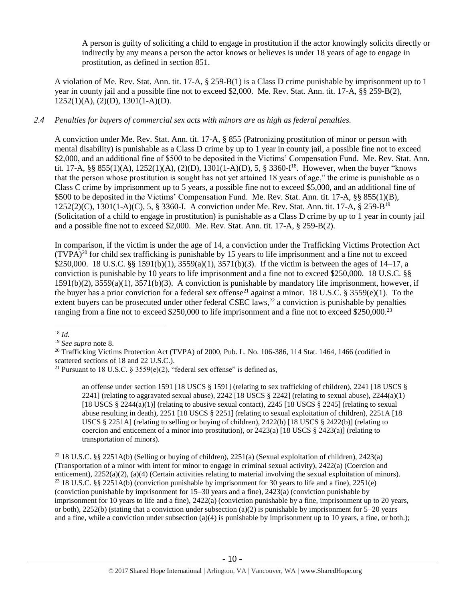A person is guilty of soliciting a child to engage in prostitution if the actor knowingly solicits directly or indirectly by any means a person the actor knows or believes is under 18 years of age to engage in prostitution, as defined in section 851.

A violation of Me. Rev. Stat. Ann. tit. 17-A, § 259-B(1) is a Class D crime punishable by imprisonment up to 1 year in county jail and a possible fine not to exceed \$2,000. Me. Rev. Stat. Ann. tit. 17-A, §§ 259-B(2), 1252(1)(A), (2)(D), 1301(1-A)(D).

## *2.4 Penalties for buyers of commercial sex acts with minors are as high as federal penalties.*

A conviction under Me. Rev. Stat. Ann. tit. 17-A, § 855 (Patronizing prostitution of minor or person with mental disability) is punishable as a Class D crime by up to 1 year in county jail, a possible fine not to exceed \$2,000, and an additional fine of \$500 to be deposited in the Victims' Compensation Fund. Me. Rev. Stat. Ann. tit. 17-A, §§ 855(1)(A), 1252(1)(A), (2)(D), 1301(1-A)(D), 5, § 3360-I<sup>18</sup>. However, when the buyer "knows that the person whose prostitution is sought has not yet attained 18 years of age," the crime is punishable as a Class C crime by imprisonment up to 5 years, a possible fine not to exceed \$5,000, and an additional fine of \$500 to be deposited in the Victims' Compensation Fund. Me. Rev. Stat. Ann. tit. 17-A, §§ 855(1)(B), 1252(2)(C), 1301(1-A)(C), 5, § 3360-I. A conviction under Me. Rev. Stat. Ann. tit. 17-A, § 259-B<sup>19</sup> (Solicitation of a child to engage in prostitution) is punishable as a Class D crime by up to 1 year in county jail and a possible fine not to exceed \$2,000. Me. Rev. Stat. Ann. tit. 17-A, § 259-B(2).

In comparison, if the victim is under the age of 14, a conviction under the Trafficking Victims Protection Act  $(TVPA)<sup>20</sup>$  for child sex trafficking is punishable by 15 years to life imprisonment and a fine not to exceed \$250,000. 18 U.S.C. §§ 1591(b)(1), 3559(a)(1), 3571(b)(3). If the victim is between the ages of 14–17, a conviction is punishable by 10 years to life imprisonment and a fine not to exceed \$250,000. 18 U.S.C. §§ 1591(b)(2), 3559(a)(1), 3571(b)(3). A conviction is punishable by mandatory life imprisonment, however, if the buyer has a prior conviction for a federal sex offense<sup>21</sup> against a minor. 18 U.S.C. § 3559(e)(1). To the extent buyers can be prosecuted under other federal CSEC laws,<sup>22</sup> a conviction is punishable by penalties ranging from a fine not to exceed \$250,000 to life imprisonment and a fine not to exceed \$250,000.<sup>23</sup>

<span id="page-9-0"></span>an offense under section 1591 [18 USCS § 1591] (relating to sex trafficking of children), 2241 [18 USCS § 2241] (relating to aggravated sexual abuse),  $2242$  [18 USCS § 2242] (relating to sexual abuse),  $2244(a)(1)$ [18 USCS  $\S 2244(a)(1)$ ] (relating to abusive sexual contact), 2245 [18 USCS  $\S 2245$ ] (relating to sexual abuse resulting in death), 2251 [18 USCS § 2251] (relating to sexual exploitation of children), 2251A [18 USCS § 2251A] (relating to selling or buying of children), 2422(b) [18 USCS § 2422(b)] (relating to coercion and enticement of a minor into prostitution), or  $2423(a)$  [18 USCS § 2423(a)] (relating to transportation of minors).

<sup>22</sup> 18 U.S.C. §§ 2251A(b) (Selling or buying of children), 2251(a) (Sexual exploitation of children), 2423(a) (Transportation of a minor with intent for minor to engage in criminal sexual activity), 2422(a) (Coercion and enticement), 2252(a)(2), (a)(4) (Certain activities relating to material involving the sexual exploitation of minors). <sup>23</sup> 18 U.S.C. §§ 2251A(b) (conviction punishable by imprisonment for 30 years to life and a fine), 2251(e) (conviction punishable by imprisonment for 15–30 years and a fine), 2423(a) (conviction punishable by imprisonment for 10 years to life and a fine), 2422(a) (conviction punishable by a fine, imprisonment up to 20 years, or both), 2252(b) (stating that a conviction under subsection (a)(2) is punishable by imprisonment for  $5-20$  years and a fine, while a conviction under subsection  $(a)(4)$  is punishable by imprisonment up to 10 years, a fine, or both.);

 $\overline{a}$ <sup>18</sup> *Id.*

<sup>19</sup> *See supra* note [8.](#page-4-0)

<sup>&</sup>lt;sup>20</sup> Trafficking Victims Protection Act (TVPA) of 2000, Pub. L. No. 106-386, 114 Stat. 1464, 1466 (codified in scattered sections of 18 and 22 U.S.C.).

<sup>&</sup>lt;sup>21</sup> Pursuant to 18 U.S.C. § 3559(e)(2), "federal sex offense" is defined as,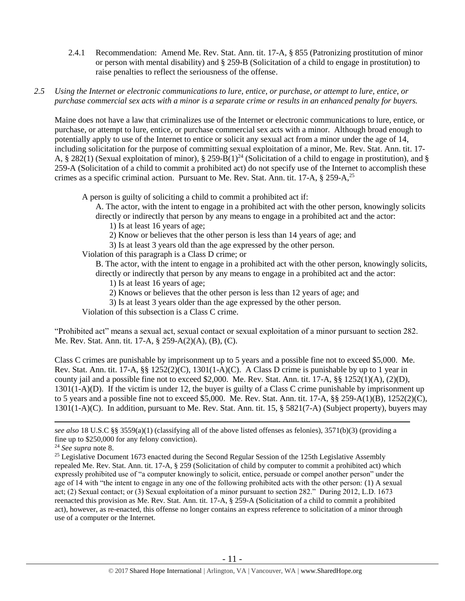- 2.4.1 Recommendation: Amend Me. Rev. Stat. Ann. tit. 17-A, § 855 (Patronizing prostitution of minor or person with mental disability) and § 259-B (Solicitation of a child to engage in prostitution) to raise penalties to reflect the seriousness of the offense.
- *2.5 Using the Internet or electronic communications to lure, entice, or purchase, or attempt to lure, entice, or purchase commercial sex acts with a minor is a separate crime or results in an enhanced penalty for buyers.*

Maine does not have a law that criminalizes use of the Internet or electronic communications to lure, entice, or purchase, or attempt to lure, entice, or purchase commercial sex acts with a minor. Although broad enough to potentially apply to use of the Internet to entice or solicit any sexual act from a minor under the age of 14, including solicitation for the purpose of committing sexual exploitation of a minor, Me. Rev. Stat. Ann. tit. 17- A, § 282(1) (Sexual exploitation of minor), § 259-B(1)<sup>24</sup> (Solicitation of a child to engage in prostitution), and § 259-A (Solicitation of a child to commit a prohibited act) do not specify use of the Internet to accomplish these crimes as a specific criminal action. Pursuant to Me. Rev. Stat. Ann. tit. 17-A, § 259-A,<sup>25</sup>

A person is guilty of soliciting a child to commit a prohibited act if:

A. The actor, with the intent to engage in a prohibited act with the other person, knowingly solicits directly or indirectly that person by any means to engage in a prohibited act and the actor:

1) Is at least 16 years of age;

2) Know or believes that the other person is less than 14 years of age; and

3) Is at least 3 years old than the age expressed by the other person.

Violation of this paragraph is a Class D crime; or

B. The actor, with the intent to engage in a prohibited act with the other person, knowingly solicits, directly or indirectly that person by any means to engage in a prohibited act and the actor:

- 1) Is at least 16 years of age;
- 2) Knows or believes that the other person is less than 12 years of age; and
- 3) Is at least 3 years older than the age expressed by the other person.

Violation of this subsection is a Class C crime.

"Prohibited act" means a sexual act, sexual contact or sexual exploitation of a minor pursuant to section 282. Me. Rev. Stat. Ann. tit. 17-A, § 259-A(2)(A), (B), (C).

Class C crimes are punishable by imprisonment up to 5 years and a possible fine not to exceed \$5,000. Me. Rev. Stat. Ann. tit. 17-A,  $\S$ § 1252(2)(C), 1301(1-A)(C). A Class D crime is punishable by up to 1 year in county jail and a possible fine not to exceed \$2,000. Me. Rev. Stat. Ann. tit. 17-A, §§ 1252(1)(A), (2)(D), 1301(1-A)(D). If the victim is under 12, the buyer is guilty of a Class C crime punishable by imprisonment up to 5 years and a possible fine not to exceed \$5,000. Me. Rev. Stat. Ann. tit. 17-A, §§ 259-A(1)(B), 1252(2)(C), 1301(1-A)(C). In addition, pursuant to Me. Rev. Stat. Ann. tit. 15, § 5821(7-A) (Subject property), buyers may

*see also* 18 U.S.C §§ 3559(a)(1) (classifying all of the above listed offenses as felonies), 3571(b)(3) (providing a fine up to \$250,000 for any felony conviction).

<sup>24</sup> *See supra* note [8.](#page-4-0)

<sup>&</sup>lt;sup>25</sup> Legislative Document 1673 enacted during the Second Regular Session of the 125th Legislative Assembly repealed Me. Rev. Stat. Ann. tit. 17-A, § 259 (Solicitation of child by computer to commit a prohibited act) which expressly prohibited use of "a computer knowingly to solicit, entice, persuade or compel another person" under the age of 14 with "the intent to engage in any one of the following prohibited acts with the other person: (1) A sexual act; (2) Sexual contact; or (3) Sexual exploitation of a minor pursuant to section 282." During 2012, L.D. 1673 reenacted this provision as Me. Rev. Stat. Ann. tit. 17-A, § 259-A (Solicitation of a child to commit a prohibited act), however, as re-enacted, this offense no longer contains an express reference to solicitation of a minor through use of a computer or the Internet.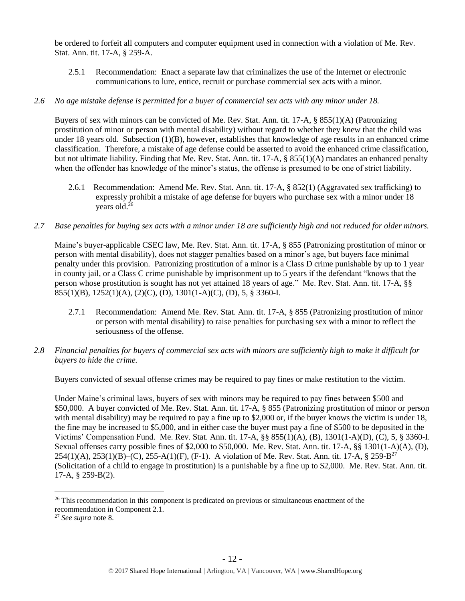be ordered to forfeit all computers and computer equipment used in connection with a violation of Me. Rev. Stat. Ann. tit. 17-A, § 259-A.

2.5.1 Recommendation: Enact a separate law that criminalizes the use of the Internet or electronic communications to lure, entice, recruit or purchase commercial sex acts with a minor.

## *2.6 No age mistake defense is permitted for a buyer of commercial sex acts with any minor under 18.*

Buyers of sex with minors can be convicted of Me. Rev. Stat. Ann. tit. 17-A, § 855(1)(A) (Patronizing prostitution of minor or person with mental disability) without regard to whether they knew that the child was under 18 years old. Subsection (1)(B), however, establishes that knowledge of age results in an enhanced crime classification. Therefore, a mistake of age defense could be asserted to avoid the enhanced crime classification, but not ultimate liability. Finding that Me. Rev. Stat. Ann. tit. 17-A, § 855(1)(A) mandates an enhanced penalty when the offender has knowledge of the minor's status, the offense is presumed to be one of strict liability.

- 2.6.1 Recommendation: Amend Me. Rev. Stat. Ann. tit. 17-A, § 852(1) (Aggravated sex trafficking) to expressly prohibit a mistake of age defense for buyers who purchase sex with a minor under 18 years old. 26
- *2.7 Base penalties for buying sex acts with a minor under 18 are sufficiently high and not reduced for older minors.*

Maine's buyer-applicable CSEC law, Me. Rev. Stat. Ann. tit. 17-A, § 855 (Patronizing prostitution of minor or person with mental disability), does not stagger penalties based on a minor's age, but buyers face minimal penalty under this provision. Patronizing prostitution of a minor is a Class D crime punishable by up to 1 year in county jail, or a Class C crime punishable by imprisonment up to 5 years if the defendant "knows that the person whose prostitution is sought has not yet attained 18 years of age." Me. Rev. Stat. Ann. tit. 17-A, §§ 855(1)(B), 1252(1)(A), (2)(C), (D), 1301(1-A)(C), (D), 5, § 3360-I.

- 2.7.1 Recommendation: Amend Me. Rev. Stat. Ann. tit. 17-A, § 855 (Patronizing prostitution of minor or person with mental disability) to raise penalties for purchasing sex with a minor to reflect the seriousness of the offense.
- *2.8 Financial penalties for buyers of commercial sex acts with minors are sufficiently high to make it difficult for buyers to hide the crime.*

Buyers convicted of sexual offense crimes may be required to pay fines or make restitution to the victim.

Under Maine's criminal laws, buyers of sex with minors may be required to pay fines between \$500 and \$50,000. A buyer convicted of Me. Rev. Stat. Ann. tit. 17-A, § 855 (Patronizing prostitution of minor or person with mental disability) may be required to pay a fine up to \$2,000 or, if the buyer knows the victim is under 18, the fine may be increased to \$5,000, and in either case the buyer must pay a fine of \$500 to be deposited in the Victims' Compensation Fund. Me. Rev. Stat. Ann. tit. 17-A, §§ 855(1)(A), (B), 1301(1-A)(D), (C), 5, § 3360-I. Sexual offenses carry possible fines of \$2,000 to \$50,000. Me. Rev. Stat. Ann. tit. 17-A, §§ 1301(1-A)(A), (D),  $254(1)(A)$ ,  $253(1)(B)$  - (C),  $255$ -A(1)(F), (F-1). A violation of Me. Rev. Stat. Ann. tit. 17-A,  $\S 259$ -B<sup>27</sup> (Solicitation of a child to engage in prostitution) is a punishable by a fine up to \$2,000. Me. Rev. Stat. Ann. tit. 17-A, § 259-B(2).

<sup>&</sup>lt;sup>26</sup> This recommendation in this component is predicated on previous or simultaneous enactment of the recommendation in Component 2.1.

<sup>27</sup> *See supra* note [8.](#page-4-0)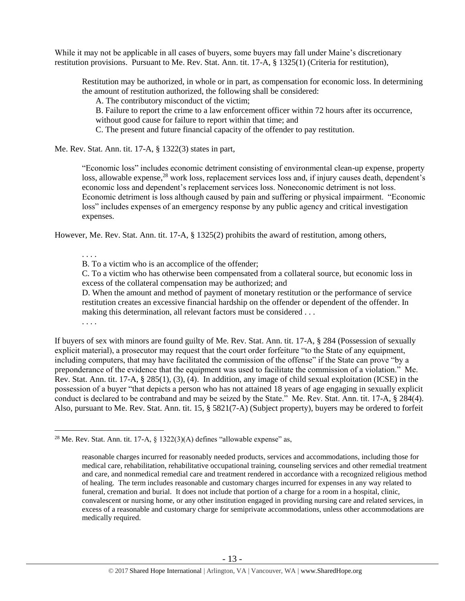While it may not be applicable in all cases of buyers, some buyers may fall under Maine's discretionary restitution provisions. Pursuant to Me. Rev. Stat. Ann. tit. 17-A, § 1325(1) (Criteria for restitution),

Restitution may be authorized, in whole or in part, as compensation for economic loss. In determining the amount of restitution authorized, the following shall be considered:

A. The contributory misconduct of the victim;

B. Failure to report the crime to a law enforcement officer within 72 hours after its occurrence, without good cause for failure to report within that time; and

C. The present and future financial capacity of the offender to pay restitution.

Me. Rev. Stat. Ann. tit. 17-A, § 1322(3) states in part,

"Economic loss" includes economic detriment consisting of environmental clean-up expense, property loss, allowable expense,<sup>28</sup> work loss, replacement services loss and, if injury causes death, dependent's economic loss and dependent's replacement services loss. Noneconomic detriment is not loss. Economic detriment is loss although caused by pain and suffering or physical impairment. "Economic loss" includes expenses of an emergency response by any public agency and critical investigation expenses.

However, Me. Rev. Stat. Ann. tit. 17-A, § 1325(2) prohibits the award of restitution, among others,

. . . .

B. To a victim who is an accomplice of the offender;

C. To a victim who has otherwise been compensated from a collateral source, but economic loss in excess of the collateral compensation may be authorized; and

D. When the amount and method of payment of monetary restitution or the performance of service restitution creates an excessive financial hardship on the offender or dependent of the offender. In making this determination, all relevant factors must be considered . . .

. . . .

 $\overline{a}$ 

If buyers of sex with minors are found guilty of Me. Rev. Stat. Ann. tit. 17-A, § 284 (Possession of sexually explicit material), a prosecutor may request that the court order forfeiture "to the State of any equipment, including computers, that may have facilitated the commission of the offense" if the State can prove "by a preponderance of the evidence that the equipment was used to facilitate the commission of a violation." Me. Rev. Stat. Ann. tit. 17-A, § 285(1), (3), (4). In addition, any image of child sexual exploitation (ICSE) in the possession of a buyer "that depicts a person who has not attained 18 years of age engaging in sexually explicit conduct is declared to be contraband and may be seized by the State." Me. Rev. Stat. Ann. tit. 17-A, § 284(4). Also, pursuant to Me. Rev. Stat. Ann. tit. 15, § 5821(7-A) (Subject property), buyers may be ordered to forfeit

<sup>&</sup>lt;sup>28</sup> Me. Rev. Stat. Ann. tit. 17-A,  $\S$  1322(3)(A) defines "allowable expense" as,

reasonable charges incurred for reasonably needed products, services and accommodations, including those for medical care, rehabilitation, rehabilitative occupational training, counseling services and other remedial treatment and care, and nonmedical remedial care and treatment rendered in accordance with a recognized religious method of healing. The term includes reasonable and customary charges incurred for expenses in any way related to funeral, cremation and burial. It does not include that portion of a charge for a room in a hospital, clinic, convalescent or nursing home, or any other institution engaged in providing nursing care and related services, in excess of a reasonable and customary charge for semiprivate accommodations, unless other accommodations are medically required.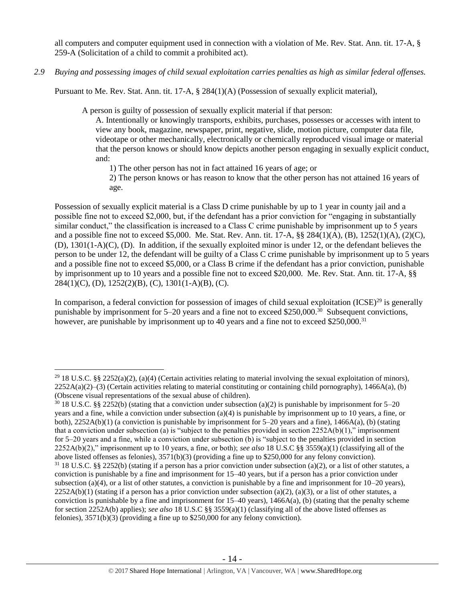all computers and computer equipment used in connection with a violation of Me. Rev. Stat. Ann. tit. 17-A, § 259-A (Solicitation of a child to commit a prohibited act).

*2.9 Buying and possessing images of child sexual exploitation carries penalties as high as similar federal offenses.*

Pursuant to Me. Rev. Stat. Ann. tit. 17-A, § 284(1)(A) (Possession of sexually explicit material),

A person is guilty of possession of sexually explicit material if that person:

A. Intentionally or knowingly transports, exhibits, purchases, possesses or accesses with intent to view any book, magazine, newspaper, print, negative, slide, motion picture, computer data file, videotape or other mechanically, electronically or chemically reproduced visual image or material that the person knows or should know depicts another person engaging in sexually explicit conduct, and:

1) The other person has not in fact attained 16 years of age; or

2) The person knows or has reason to know that the other person has not attained 16 years of age.

Possession of sexually explicit material is a Class D crime punishable by up to 1 year in county jail and a possible fine not to exceed \$2,000, but, if the defendant has a prior conviction for "engaging in substantially similar conduct," the classification is increased to a Class C crime punishable by imprisonment up to 5 years and a possible fine not to exceed \$5,000. Me. Stat. Rev. Ann. tit. 17-A, §§ 284(1)(A), (B), 1252(1)(A), (2)(C), (D), 1301(1-A)(C), (D). In addition, if the sexually exploited minor is under 12, or the defendant believes the person to be under 12, the defendant will be guilty of a Class C crime punishable by imprisonment up to 5 years and a possible fine not to exceed \$5,000, or a Class B crime if the defendant has a prior conviction, punishable by imprisonment up to 10 years and a possible fine not to exceed \$20,000. Me. Rev. Stat. Ann. tit. 17-A, §§  $284(1)(C)$ , (D),  $1252(2)(B)$ , (C),  $1301(1-A)(B)$ , (C).

In comparison, a federal conviction for possession of images of child sexual exploitation  $(ICSE)^{29}$  is generally punishable by imprisonment for 5–20 years and a fine not to exceed \$250,000.<sup>30</sup> Subsequent convictions, however, are punishable by imprisonment up to 40 years and a fine not to exceed \$250,000.<sup>31</sup>

<sup>&</sup>lt;sup>29</sup> 18 U.S.C. §§ 2252(a)(2), (a)(4) (Certain activities relating to material involving the sexual exploitation of minors),  $2252A(a)(2)$ –(3) (Certain activities relating to material constituting or containing child pornography), 1466A(a), (b) (Obscene visual representations of the sexual abuse of children).

<sup>&</sup>lt;sup>30</sup> 18 U.S.C. §§ 2252(b) (stating that a conviction under subsection (a)(2) is punishable by imprisonment for 5–20 years and a fine, while a conviction under subsection (a)(4) is punishable by imprisonment up to 10 years, a fine, or both),  $2252A(b)(1)$  (a conviction is punishable by imprisonment for 5–20 years and a fine),  $1466A(a)$ , (b) (stating that a conviction under subsection (a) is "subject to the penalties provided in section  $2252A(b)(1)$ ," imprisonment for 5–20 years and a fine, while a conviction under subsection (b) is "subject to the penalties provided in section 2252A(b)(2)," imprisonment up to 10 years, a fine, or both); *see also* 18 U.S.C §§ 3559(a)(1) (classifying all of the above listed offenses as felonies), 3571(b)(3) (providing a fine up to \$250,000 for any felony conviction).  $31\,18$  U.S.C. §§ 2252(b) (stating if a person has a prior conviction under subsection (a)(2), or a list of other statutes, a conviction is punishable by a fine and imprisonment for 15–40 years, but if a person has a prior conviction under subsection (a)(4), or a list of other statutes, a conviction is punishable by a fine and imprisonment for  $10-20$  years),  $2252A(b)(1)$  (stating if a person has a prior conviction under subsection (a)(2), (a)(3), or a list of other statutes, a conviction is punishable by a fine and imprisonment for  $15-40$  years),  $1466A(a)$ , (b) (stating that the penalty scheme for section 2252A(b) applies); *see also* 18 U.S.C §§ 3559(a)(1) (classifying all of the above listed offenses as felonies), 3571(b)(3) (providing a fine up to \$250,000 for any felony conviction).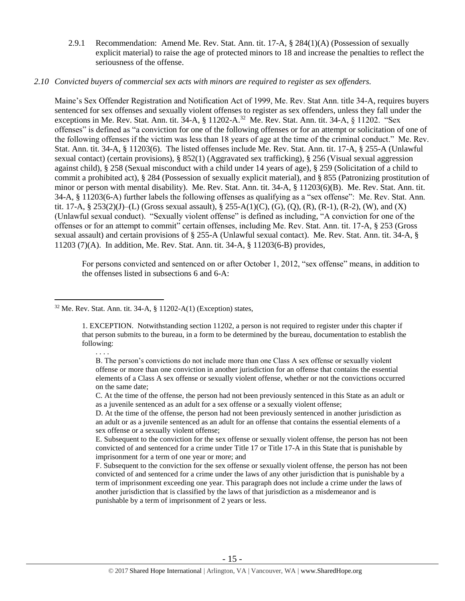2.9.1 Recommendation: Amend Me. Rev. Stat. Ann. tit. 17-A, § 284(1)(A) (Possession of sexually explicit material) to raise the age of protected minors to 18 and increase the penalties to reflect the seriousness of the offense.

## *2.10 Convicted buyers of commercial sex acts with minors are required to register as sex offenders.*

<span id="page-14-0"></span>Maine's Sex Offender Registration and Notification Act of 1999, Me. Rev. Stat Ann. title 34-A, requires buyers sentenced for sex offenses and sexually violent offenses to register as sex offenders, unless they fall under the exceptions in Me. Rev. Stat. Ann. tit. 34-A, § 11202-A.<sup>32</sup> Me. Rev. Stat. Ann. tit. 34-A, § 11202. "Sex offenses" is defined as "a conviction for one of the following offenses or for an attempt or solicitation of one of the following offenses if the victim was less than 18 years of age at the time of the criminal conduct." Me. Rev. Stat. Ann. tit. 34-A, § 11203(6). The listed offenses include Me. Rev. Stat. Ann. tit. 17-A, § 255-A (Unlawful sexual contact) (certain provisions), § 852(1) (Aggravated sex trafficking), § 256 (Visual sexual aggression against child), § 258 (Sexual misconduct with a child under 14 years of age), § 259 (Solicitation of a child to commit a prohibited act), § 284 (Possession of sexually explicit material), and § 855 (Patronizing prostitution of minor or person with mental disability). Me. Rev. Stat. Ann. tit. 34-A, § 11203(6)(B). Me. Rev. Stat. Ann. tit. 34-A, § 11203(6-A) further labels the following offenses as qualifying as a "sex offense": Me. Rev. Stat. Ann. tit. 17-A, § 253(2)(J)–(L) (Gross sexual assault), § 255-A(1)(C), (G), (Q), (R), (R-1), (R-2), (W), and (X) (Unlawful sexual conduct). "Sexually violent offense" is defined as including, "A conviction for one of the offenses or for an attempt to commit" certain offenses, including Me. Rev. Stat. Ann. tit. 17-A, § 253 (Gross sexual assault) and certain provisions of § 255-A (Unlawful sexual contact). Me. Rev. Stat. Ann. tit. 34-A, § 11203 (7)(A). In addition, Me. Rev. Stat. Ann. tit. 34-A, § 11203(6-B) provides,

For persons convicted and sentenced on or after October 1, 2012, "sex offense" means, in addition to the offenses listed in subsections 6 and 6-A:

. . . .

C. At the time of the offense, the person had not been previously sentenced in this State as an adult or as a juvenile sentenced as an adult for a sex offense or a sexually violent offense;

D. At the time of the offense, the person had not been previously sentenced in another jurisdiction as an adult or as a juvenile sentenced as an adult for an offense that contains the essential elements of a sex offense or a sexually violent offense;

E. Subsequent to the conviction for the sex offense or sexually violent offense, the person has not been convicted of and sentenced for a crime under Title 17 or Title 17-A in this State that is punishable by imprisonment for a term of one year or more; and

F. Subsequent to the conviction for the sex offense or sexually violent offense, the person has not been convicted of and sentenced for a crime under the laws of any other jurisdiction that is punishable by a term of imprisonment exceeding one year. This paragraph does not include a crime under the laws of another jurisdiction that is classified by the laws of that jurisdiction as a misdemeanor and is punishable by a term of imprisonment of 2 years or less.

 $\overline{a}$  $32$  Me. Rev. Stat. Ann. tit. 34-A,  $\S$  11202-A(1) (Exception) states,

<sup>1.</sup> EXCEPTION. Notwithstanding section 11202, a person is not required to register under this chapter if that person submits to the bureau, in a form to be determined by the bureau, documentation to establish the following:

B. The person's convictions do not include more than one Class A sex offense or sexually violent offense or more than one conviction in another jurisdiction for an offense that contains the essential elements of a Class A sex offense or sexually violent offense, whether or not the convictions occurred on the same date;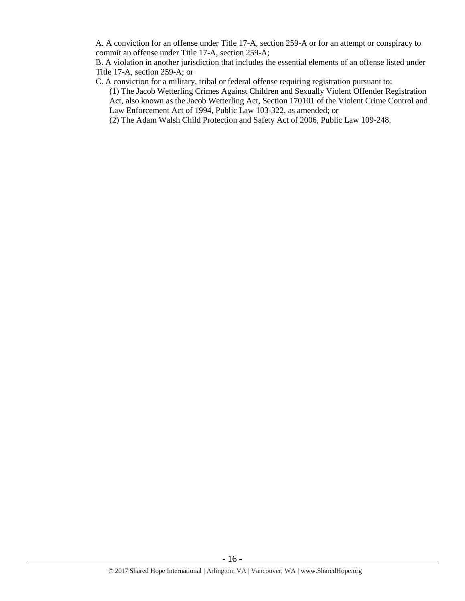A. A conviction for an offense under Title 17-A, section 259-A or for an attempt or conspiracy to commit an offense under Title 17-A, section 259-A;

B. A violation in another jurisdiction that includes the essential elements of an offense listed under Title 17-A, section 259-A; or

- C. A conviction for a military, tribal or federal offense requiring registration pursuant to:
	- (1) The Jacob Wetterling Crimes Against Children and Sexually Violent Offender Registration Act, also known as the Jacob Wetterling Act, Section 170101 of the Violent Crime Control and Law Enforcement Act of 1994, Public Law 103-322, as amended; or

(2) The Adam Walsh Child Protection and Safety Act of 2006, Public Law 109-248.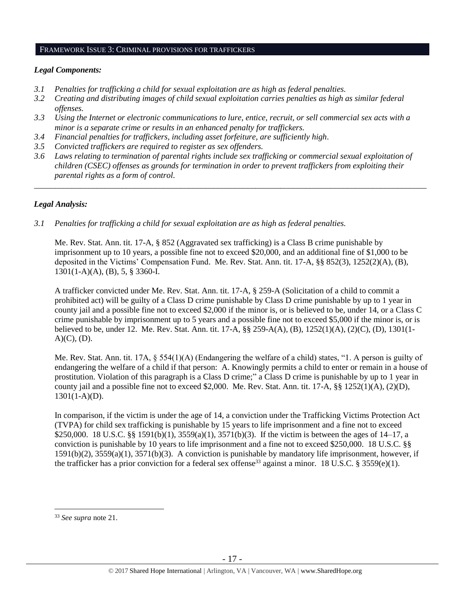#### FRAMEWORK ISSUE 3: CRIMINAL PROVISIONS FOR TRAFFICKERS

#### *Legal Components:*

- *3.1 Penalties for trafficking a child for sexual exploitation are as high as federal penalties.*
- *3.2 Creating and distributing images of child sexual exploitation carries penalties as high as similar federal offenses.*
- *3.3 Using the Internet or electronic communications to lure, entice, recruit, or sell commercial sex acts with a minor is a separate crime or results in an enhanced penalty for traffickers.*
- *3.4 Financial penalties for traffickers, including asset forfeiture, are sufficiently high*.
- *3.5 Convicted traffickers are required to register as sex offenders.*
- *3.6 Laws relating to termination of parental rights include sex trafficking or commercial sexual exploitation of children (CSEC) offenses as grounds for termination in order to prevent traffickers from exploiting their parental rights as a form of control.*

*\_\_\_\_\_\_\_\_\_\_\_\_\_\_\_\_\_\_\_\_\_\_\_\_\_\_\_\_\_\_\_\_\_\_\_\_\_\_\_\_\_\_\_\_\_\_\_\_\_\_\_\_\_\_\_\_\_\_\_\_\_\_\_\_\_\_\_\_\_\_\_\_\_\_\_\_\_\_\_\_\_\_\_\_\_\_\_\_\_\_\_\_\_\_*

## *Legal Analysis:*

*3.1 Penalties for trafficking a child for sexual exploitation are as high as federal penalties.* 

Me. Rev. Stat. Ann. tit. 17-A, § 852 (Aggravated sex trafficking) is a Class B crime punishable by imprisonment up to 10 years, a possible fine not to exceed \$20,000, and an additional fine of \$1,000 to be deposited in the Victims' Compensation Fund. Me. Rev. Stat. Ann. tit. 17-A, §§ 852(3), 1252(2)(A), (B), 1301(1-A)(A), (B), 5, § 3360-I.

A trafficker convicted under Me. Rev. Stat. Ann. tit. 17-A, § 259-A (Solicitation of a child to commit a prohibited act) will be guilty of a Class D crime punishable by Class D crime punishable by up to 1 year in county jail and a possible fine not to exceed \$2,000 if the minor is, or is believed to be, under 14, or a Class C crime punishable by imprisonment up to 5 years and a possible fine not to exceed \$5,000 if the minor is, or is believed to be, under 12. Me. Rev. Stat. Ann. tit. 17-A, §§ 259-A(A), (B), 1252(1)(A), (2)(C), (D), 1301(1-  $A)(C)$ ,  $(D)$ .

Me. Rev. Stat. Ann. tit. 17A, § 554(1)(A) (Endangering the welfare of a child) states, "1. A person is guilty of endangering the welfare of a child if that person: A. Knowingly permits a child to enter or remain in a house of prostitution. Violation of this paragraph is a Class D crime;" a Class D crime is punishable by up to 1 year in county jail and a possible fine not to exceed \$2,000. Me. Rev. Stat. Ann. tit. 17-A, §§ 1252(1)(A), (2)(D), 1301(1-A)(D).

In comparison, if the victim is under the age of 14, a conviction under the Trafficking Victims Protection Act (TVPA) for child sex trafficking is punishable by 15 years to life imprisonment and a fine not to exceed \$250,000. 18 U.S.C. §§ 1591(b)(1), 3559(a)(1), 3571(b)(3). If the victim is between the ages of 14–17, a conviction is punishable by 10 years to life imprisonment and a fine not to exceed \$250,000. 18 U.S.C. §§ 1591(b)(2), 3559(a)(1), 3571(b)(3). A conviction is punishable by mandatory life imprisonment, however, if the trafficker has a prior conviction for a federal sex offense<sup>33</sup> against a minor. 18 U.S.C. § 3559(e)(1).

<sup>33</sup> *See supra* note [21.](#page-9-0)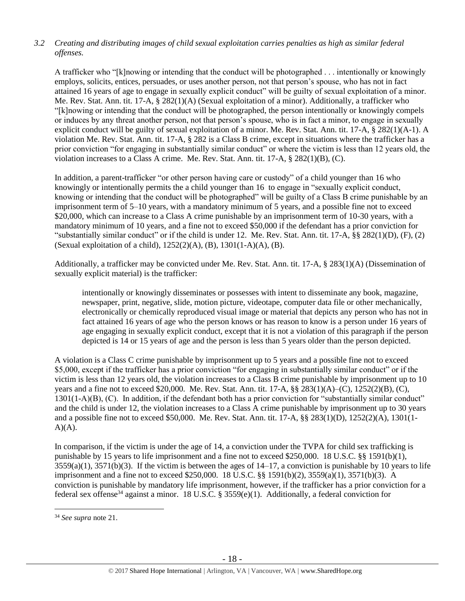# *3.2 Creating and distributing images of child sexual exploitation carries penalties as high as similar federal offenses.*

A trafficker who "[k]nowing or intending that the conduct will be photographed . . . intentionally or knowingly employs, solicits, entices, persuades, or uses another person, not that person's spouse, who has not in fact attained 16 years of age to engage in sexually explicit conduct" will be guilty of sexual exploitation of a minor. Me. Rev. Stat. Ann. tit. 17-A, § 282(1)(A) (Sexual exploitation of a minor). Additionally, a trafficker who "[k]nowing or intending that the conduct will be photographed, the person intentionally or knowingly compels or induces by any threat another person, not that person's spouse, who is in fact a minor, to engage in sexually explicit conduct will be guilty of sexual exploitation of a minor. Me. Rev. Stat. Ann. tit. 17-A, § 282(1)(A-1). A violation Me. Rev. Stat. Ann. tit. 17-A, § 282 is a Class B crime, except in situations where the trafficker has a prior conviction "for engaging in substantially similar conduct" or where the victim is less than 12 years old, the violation increases to a Class A crime. Me. Rev. Stat. Ann. tit. 17-A, § 282(1)(B), (C).

In addition, a parent-trafficker "or other person having care or custody" of a child younger than 16 who knowingly or intentionally permits the a child younger than 16 to engage in "sexually explicit conduct, knowing or intending that the conduct will be photographed" will be guilty of a Class B crime punishable by an imprisonment term of 5–10 years, with a mandatory minimum of 5 years, and a possible fine not to exceed \$20,000, which can increase to a Class A crime punishable by an imprisonment term of 10-30 years, with a mandatory minimum of 10 years, and a fine not to exceed \$50,000 if the defendant has a prior conviction for "substantially similar conduct" or if the child is under 12. Me. Rev. Stat. Ann. tit.  $17-A$ ,  $\S$  $\S$   $282(1)(D)$ ,  $(F)$ ,  $(2)$ (Sexual exploitation of a child), 1252(2)(A), (B), 1301(1-A)(A), (B).

Additionally, a trafficker may be convicted under Me. Rev. Stat. Ann. tit. 17-A, § 283(1)(A) (Dissemination of sexually explicit material) is the trafficker:

intentionally or knowingly disseminates or possesses with intent to disseminate any book, magazine, newspaper, print, negative, slide, motion picture, videotape, computer data file or other mechanically, electronically or chemically reproduced visual image or material that depicts any person who has not in fact attained 16 years of age who the person knows or has reason to know is a person under 16 years of age engaging in sexually explicit conduct, except that it is not a violation of this paragraph if the person depicted is 14 or 15 years of age and the person is less than 5 years older than the person depicted.

A violation is a Class C crime punishable by imprisonment up to 5 years and a possible fine not to exceed \$5,000, except if the trafficker has a prior conviction "for engaging in substantially similar conduct" or if the victim is less than 12 years old, the violation increases to a Class B crime punishable by imprisonment up to 10 years and a fine not to exceed \$20,000. Me. Rev. Stat. Ann. tit. 17-A, §§ 283(1)(A)–(C), 1252(2)(B), (C), 1301(1-A)(B), (C). In addition, if the defendant both has a prior conviction for "substantially similar conduct" and the child is under 12, the violation increases to a Class A crime punishable by imprisonment up to 30 years and a possible fine not to exceed \$50,000. Me. Rev. Stat. Ann. tit. 17-A, §§ 283(1)(D), 1252(2)(A), 1301(1-  $A)(A)$ .

In comparison, if the victim is under the age of 14, a conviction under the TVPA for child sex trafficking is punishable by 15 years to life imprisonment and a fine not to exceed \$250,000. 18 U.S.C. §§ 1591(b)(1),  $3559(a)(1)$ ,  $3571(b)(3)$ . If the victim is between the ages of  $14-17$ , a conviction is punishable by 10 years to life imprisonment and a fine not to exceed \$250,000. 18 U.S.C. §§ 1591(b)(2), 3559(a)(1), 3571(b)(3). A conviction is punishable by mandatory life imprisonment, however, if the trafficker has a prior conviction for a federal sex offense<sup>34</sup> against a minor. 18 U.S.C. § 3559 $(e)(1)$ . Additionally, a federal conviction for

<sup>34</sup> *See supra* note [21.](#page-9-0)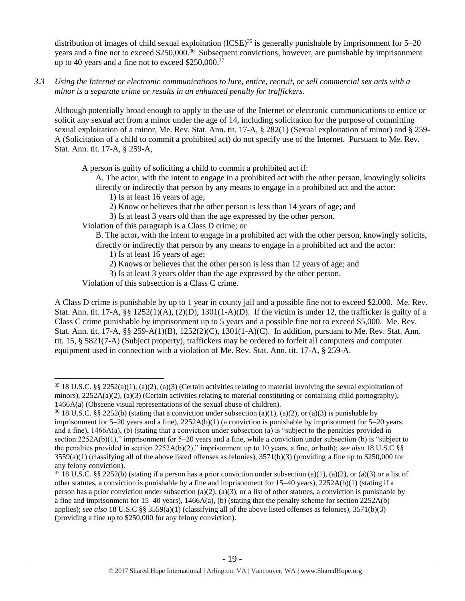distribution of images of child sexual exploitation  $(ICSE)^{35}$  is generally punishable by imprisonment for  $5-20$ years and a fine not to exceed \$250,000.<sup>36</sup> Subsequent convictions, however, are punishable by imprisonment up to 40 years and a fine not to exceed \$250,000.<sup>37</sup>

*3.3 Using the Internet or electronic communications to lure, entice, recruit, or sell commercial sex acts with a minor is a separate crime or results in an enhanced penalty for traffickers.*

Although potentially broad enough to apply to the use of the Internet or electronic communications to entice or solicit any sexual act from a minor under the age of 14, including solicitation for the purpose of committing sexual exploitation of a minor, Me. Rev. Stat. Ann. tit. 17-A, § 282(1) (Sexual exploitation of minor) and § 259- A (Solicitation of a child to commit a prohibited act) do not specify use of the Internet. Pursuant to Me. Rev. Stat. Ann. tit. 17-A, § 259-A,

A person is guilty of soliciting a child to commit a prohibited act if:

A. The actor, with the intent to engage in a prohibited act with the other person, knowingly solicits directly or indirectly that person by any means to engage in a prohibited act and the actor:

- 1) Is at least 16 years of age;
- 2) Know or believes that the other person is less than 14 years of age; and
- 3) Is at least 3 years old than the age expressed by the other person.

Violation of this paragraph is a Class D crime; or

B. The actor, with the intent to engage in a prohibited act with the other person, knowingly solicits, directly or indirectly that person by any means to engage in a prohibited act and the actor:

1) Is at least 16 years of age;

- 2) Knows or believes that the other person is less than 12 years of age; and
- 3) Is at least 3 years older than the age expressed by the other person.

Violation of this subsection is a Class C crime.

 $\overline{a}$ 

A Class D crime is punishable by up to 1 year in county jail and a possible fine not to exceed \$2,000. Me. Rev. Stat. Ann. tit. 17-A,  $\S$ § 1252(1)(A), (2)(D), 1301(1-A)(D). If the victim is under 12, the trafficker is guilty of a Class C crime punishable by imprisonment up to 5 years and a possible fine not to exceed \$5,000. Me. Rev. Stat. Ann. tit. 17-A, §§ 259-A(1)(B), 1252(2)(C), 1301(1-A)(C). In addition, pursuant to Me. Rev. Stat. Ann. tit. 15, § 5821(7-A) (Subject property), traffickers may be ordered to forfeit all computers and computer equipment used in connection with a violation of Me. Rev. Stat. Ann. tit. 17-A, § 259-A.

<sup>&</sup>lt;sup>35</sup> 18 U.S.C. §§ 2252(a)(1), (a)(2), (a)(3) (Certain activities relating to material involving the sexual exploitation of minors),  $2252A(a)(2)$ , (a)(3) (Certain activities relating to material constituting or containing child pornography), 1466A(a) (Obscene visual representations of the sexual abuse of children).

<sup>&</sup>lt;sup>36</sup> 18 U.S.C. §§ 2252(b) (stating that a conviction under subsection (a)(1), (a)(2), or (a)(3) is punishable by imprisonment for 5–20 years and a fine), 2252A(b)(1) (a conviction is punishable by imprisonment for 5–20 years and a fine), 1466A(a), (b) (stating that a conviction under subsection (a) is "subject to the penalties provided in section 2252A(b)(1)," imprisonment for 5–20 years and a fine, while a conviction under subsection (b) is "subject to the penalties provided in section 2252A(b)(2)," imprisonment up to 10 years, a fine, or both); *see also* 18 U.S.C §§  $3559(a)(1)$  (classifying all of the above listed offenses as felonies),  $3571(b)(3)$  (providing a fine up to \$250,000 for any felony conviction).

 $37\,18$  U.S.C. §§ 2252(b) (stating if a person has a prior conviction under subsection (a)(1), (a)(2), or (a)(3) or a list of other statutes, a conviction is punishable by a fine and imprisonment for  $15-40$  years),  $2252A(b)(1)$  (stating if a person has a prior conviction under subsection (a)(2), (a)(3), or a list of other statutes, a conviction is punishable by a fine and imprisonment for  $15-40$  years),  $1466A(a)$ , (b) (stating that the penalty scheme for section  $2252A(b)$ applies); *see also* 18 U.S.C §§ 3559(a)(1) (classifying all of the above listed offenses as felonies), 3571(b)(3) (providing a fine up to \$250,000 for any felony conviction).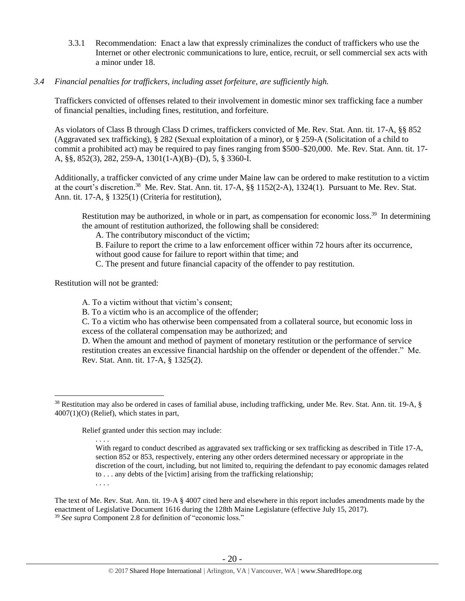- 3.3.1 Recommendation: Enact a law that expressly criminalizes the conduct of traffickers who use the Internet or other electronic communications to lure, entice, recruit, or sell commercial sex acts with a minor under 18.
- *3.4 Financial penalties for traffickers, including asset forfeiture, are sufficiently high.*

Traffickers convicted of offenses related to their involvement in domestic minor sex trafficking face a number of financial penalties, including fines, restitution, and forfeiture.

As violators of Class B through Class D crimes, traffickers convicted of Me. Rev. Stat. Ann. tit. 17-A, §§ 852 (Aggravated sex trafficking), § 282 (Sexual exploitation of a minor), or § 259-A (Solicitation of a child to commit a prohibited act) may be required to pay fines ranging from \$500–\$20,000. Me. Rev. Stat. Ann. tit. 17- A, §§, 852(3), 282, 259-A, 1301(1-A)(B)–(D), 5, § 3360-I.

Additionally, a trafficker convicted of any crime under Maine law can be ordered to make restitution to a victim at the court's discretion.<sup>38</sup> Me. Rev. Stat. Ann. tit. 17-A, §§ 1152(2-A), 1324(1). Pursuant to Me. Rev. Stat. Ann. tit. 17-A, § 1325(1) (Criteria for restitution),

<span id="page-19-0"></span>Restitution may be authorized, in whole or in part, as compensation for economic loss.<sup>39</sup> In determining the amount of restitution authorized, the following shall be considered:

A. The contributory misconduct of the victim;

B. Failure to report the crime to a law enforcement officer within 72 hours after its occurrence, without good cause for failure to report within that time; and

C. The present and future financial capacity of the offender to pay restitution.

Restitution will not be granted:

 $\overline{a}$ 

A. To a victim without that victim's consent;

B. To a victim who is an accomplice of the offender;

C. To a victim who has otherwise been compensated from a collateral source, but economic loss in excess of the collateral compensation may be authorized; and

D. When the amount and method of payment of monetary restitution or the performance of service restitution creates an excessive financial hardship on the offender or dependent of the offender." Me. Rev. Stat. Ann. tit. 17-A, § 1325(2).

Relief granted under this section may include:

 $38$  Restitution may also be ordered in cases of familial abuse, including trafficking, under Me. Rev. Stat. Ann. tit. 19-A,  $\S$ 4007(1)(O) (Relief), which states in part,

<sup>. . . .</sup> With regard to conduct described as aggravated sex trafficking or sex trafficking as described in Title 17-A, section 852 or 853, respectively, entering any other orders determined necessary or appropriate in the discretion of the court, including, but not limited to, requiring the defendant to pay economic damages related to . . . any debts of the [victim] arising from the trafficking relationship; . . . .

The text of Me. Rev. Stat. Ann. tit. 19-A § 4007 cited here and elsewhere in this report includes amendments made by the enactment of Legislative Document 1616 during the 128th Maine Legislature (effective July 15, 2017). <sup>39</sup> *See supra* Component 2.8 for definition of "economic loss."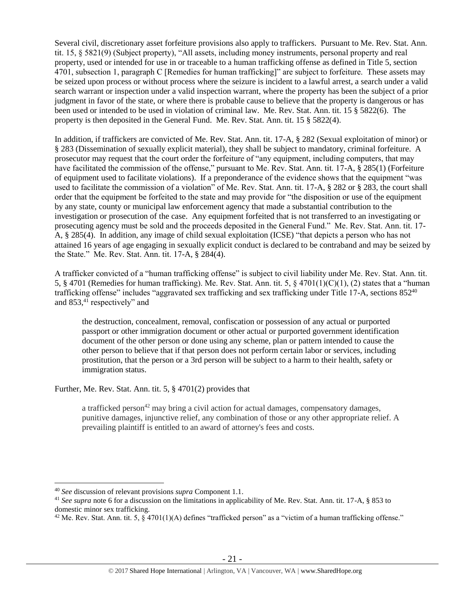Several civil, discretionary asset forfeiture provisions also apply to traffickers. Pursuant to Me. Rev. Stat. Ann. tit. 15, § 5821(9) (Subject property), "All assets, including money instruments, personal property and real property, used or intended for use in or traceable to a human trafficking offense as defined in Title 5, section 4701, subsection 1, paragraph C [Remedies for human trafficking]" are subject to forfeiture. These assets may be seized upon process or without process where the seizure is incident to a lawful arrest, a search under a valid search warrant or inspection under a valid inspection warrant, where the property has been the subject of a prior judgment in favor of the state, or where there is probable cause to believe that the property is dangerous or has been used or intended to be used in violation of criminal law. Me. Rev. Stat. Ann. tit. 15 § 5822(6). The property is then deposited in the General Fund. Me. Rev. Stat. Ann. tit. 15 § 5822(4).

In addition, if traffickers are convicted of Me. Rev. Stat. Ann. tit. 17-A, § 282 (Sexual exploitation of minor) or § 283 (Dissemination of sexually explicit material), they shall be subject to mandatory, criminal forfeiture. A prosecutor may request that the court order the forfeiture of "any equipment, including computers, that may have facilitated the commission of the offense," pursuant to Me. Rev. Stat. Ann. tit. 17-A, § 285(1) (Forfeiture of equipment used to facilitate violations). If a preponderance of the evidence shows that the equipment "was used to facilitate the commission of a violation" of Me. Rev. Stat. Ann. tit. 17-A, § 282 or § 283, the court shall order that the equipment be forfeited to the state and may provide for "the disposition or use of the equipment by any state, county or municipal law enforcement agency that made a substantial contribution to the investigation or prosecution of the case. Any equipment forfeited that is not transferred to an investigating or prosecuting agency must be sold and the proceeds deposited in the General Fund." Me. Rev. Stat. Ann. tit. 17- A, § 285(4). In addition, any image of child sexual exploitation (ICSE) "that depicts a person who has not attained 16 years of age engaging in sexually explicit conduct is declared to be contraband and may be seized by the State." Me. Rev. Stat. Ann. tit. 17-A, § 284(4).

A trafficker convicted of a "human trafficking offense" is subject to civil liability under Me. Rev. Stat. Ann. tit. 5, § 4701 (Remedies for human trafficking). Me. Rev. Stat. Ann. tit. 5, § 4701(1)(C)(1), (2) states that a "human trafficking offense" includes "aggravated sex trafficking and sex trafficking under Title 17-A, sections 852<sup>40</sup> and 853, <sup>41</sup> respectively" and

the destruction, concealment, removal, confiscation or possession of any actual or purported passport or other immigration document or other actual or purported government identification document of the other person or done using any scheme, plan or pattern intended to cause the other person to believe that if that person does not perform certain labor or services, including prostitution, that the person or a 3rd person will be subject to a harm to their health, safety or immigration status.

Further, Me. Rev. Stat. Ann. tit. 5, § 4701(2) provides that

a trafficked person<sup>42</sup> may bring a civil action for actual damages, compensatory damages, punitive damages, injunctive relief, any combination of those or any other appropriate relief. A prevailing plaintiff is entitled to an award of attorney's fees and costs.

<sup>40</sup> *See* discussion of relevant provisions *supra* Component 1.1.

<sup>41</sup> *See supra* note [6](#page-2-0) for a discussion on the limitations in applicability of Me. Rev. Stat. Ann. tit. 17-A, § 853 to domestic minor sex trafficking.

<sup>&</sup>lt;sup>42</sup> Me. Rev. Stat. Ann. tit. 5,  $\S$  4701(1)(A) defines "trafficked person" as a "victim of a human trafficking offense."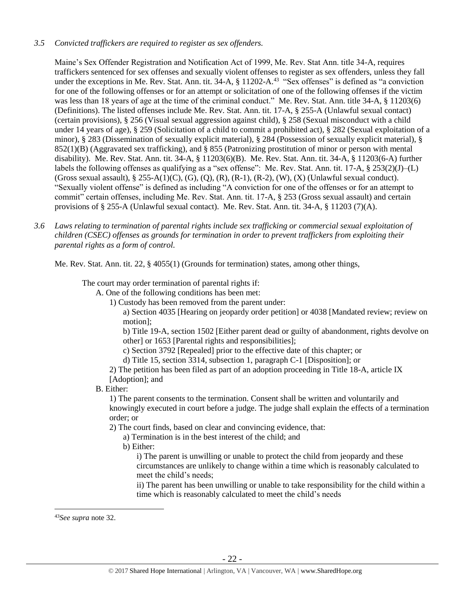# *3.5 Convicted traffickers are required to register as sex offenders.*

Maine's Sex Offender Registration and Notification Act of 1999, Me. Rev. Stat Ann. title 34-A, requires traffickers sentenced for sex offenses and sexually violent offenses to register as sex offenders, unless they fall under the exceptions in Me. Rev. Stat. Ann. tit. 34-A, § 11202-A.<sup>43</sup> "Sex offenses" is defined as "a conviction for one of the following offenses or for an attempt or solicitation of one of the following offenses if the victim was less than 18 years of age at the time of the criminal conduct." Me. Rev. Stat. Ann. title 34-A, § 11203(6) (Definitions). The listed offenses include Me. Rev. Stat. Ann. tit. 17-A, § 255-A (Unlawful sexual contact) (certain provisions), § 256 (Visual sexual aggression against child), § 258 (Sexual misconduct with a child under 14 years of age), § 259 (Solicitation of a child to commit a prohibited act), § 282 (Sexual exploitation of a minor), § 283 (Dissemination of sexually explicit material), § 284 (Possession of sexually explicit material), § 852(1)(B) (Aggravated sex trafficking), and § 855 (Patronizing prostitution of minor or person with mental disability). Me. Rev. Stat. Ann. tit. 34-A, § 11203(6)(B). Me. Rev. Stat. Ann. tit. 34-A, § 11203(6-A) further labels the following offenses as qualifying as a "sex offense": Me. Rev. Stat. Ann. tit. 17-A, § 253(2)(J)–(L) (Gross sexual assault),  $\S 255-A(1)(C)$ , (G), (Q), (R), (R-1), (R-2), (W), (X) (Unlawful sexual conduct). "Sexually violent offense" is defined as including "A conviction for one of the offenses or for an attempt to commit" certain offenses, including Me. Rev. Stat. Ann. tit. 17-A, § 253 (Gross sexual assault) and certain provisions of § 255-A (Unlawful sexual contact). Me. Rev. Stat. Ann. tit. 34-A, § 11203 (7)(A).

*3.6 Laws relating to termination of parental rights include sex trafficking or commercial sexual exploitation of children (CSEC) offenses as grounds for termination in order to prevent traffickers from exploiting their parental rights as a form of control.* 

Me. Rev. Stat. Ann. tit. 22, § 4055(1) (Grounds for termination) states, among other things,

The court may order termination of parental rights if:

A. One of the following conditions has been met:

1) Custody has been removed from the parent under:

a) Section 4035 [Hearing on jeopardy order petition] or 4038 [Mandated review; review on motion];

b) Title 19-A, section 1502 [Either parent dead or guilty of abandonment, rights devolve on other] or 1653 [Parental rights and responsibilities];

c) Section 3792 [Repealed] prior to the effective date of this chapter; or

d) Title 15, section 3314, subsection 1, paragraph C-1 [Disposition]; or

2) The petition has been filed as part of an adoption proceeding in Title 18-A, article IX [Adoption]; and

# B. Either:

1) The parent consents to the termination. Consent shall be written and voluntarily and knowingly executed in court before a judge. The judge shall explain the effects of a termination order; or

2) The court finds, based on clear and convincing evidence, that:

a) Termination is in the best interest of the child; and

b) Either:

i) The parent is unwilling or unable to protect the child from jeopardy and these circumstances are unlikely to change within a time which is reasonably calculated to meet the child's needs;

ii) The parent has been unwilling or unable to take responsibility for the child within a time which is reasonably calculated to meet the child's needs

<sup>43</sup>*See supra* note [32.](#page-14-0)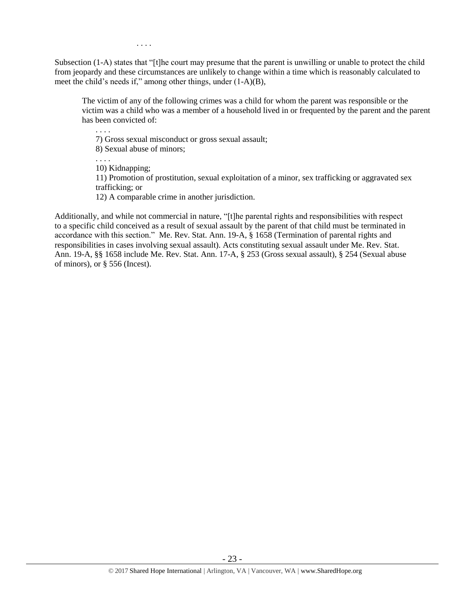Subsection (1-A) states that "[t]he court may presume that the parent is unwilling or unable to protect the child from jeopardy and these circumstances are unlikely to change within a time which is reasonably calculated to meet the child's needs if," among other things, under (1-A)(B),

The victim of any of the following crimes was a child for whom the parent was responsible or the victim was a child who was a member of a household lived in or frequented by the parent and the parent has been convicted of:

7) Gross sexual misconduct or gross sexual assault;

8) Sexual abuse of minors;

. . . .

. . . .

. . . .

10) Kidnapping;

11) Promotion of prostitution, sexual exploitation of a minor, sex trafficking or aggravated sex trafficking; or

12) A comparable crime in another jurisdiction.

Additionally, and while not commercial in nature, "[t]he parental rights and responsibilities with respect to a specific child conceived as a result of sexual assault by the parent of that child must be terminated in accordance with this section." Me. Rev. Stat. Ann. 19-A, § 1658 (Termination of parental rights and responsibilities in cases involving sexual assault). Acts constituting sexual assault under Me. Rev. Stat. Ann. 19-A, §§ 1658 include Me. Rev. Stat. Ann. 17-A, § 253 (Gross sexual assault), § 254 (Sexual abuse of minors), or § 556 (Incest).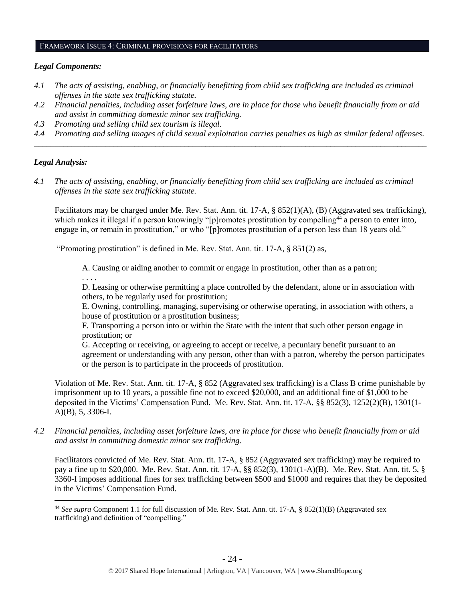#### FRAMEWORK ISSUE 4: CRIMINAL PROVISIONS FOR FACILITATORS

#### *Legal Components:*

- *4.1 The acts of assisting, enabling, or financially benefitting from child sex trafficking are included as criminal offenses in the state sex trafficking statute.*
- *4.2 Financial penalties, including asset forfeiture laws, are in place for those who benefit financially from or aid and assist in committing domestic minor sex trafficking.*
- *4.3 Promoting and selling child sex tourism is illegal.*
- *4.4 Promoting and selling images of child sexual exploitation carries penalties as high as similar federal offenses. \_\_\_\_\_\_\_\_\_\_\_\_\_\_\_\_\_\_\_\_\_\_\_\_\_\_\_\_\_\_\_\_\_\_\_\_\_\_\_\_\_\_\_\_\_\_\_\_\_\_\_\_\_\_\_\_\_\_\_\_\_\_\_\_\_\_\_\_\_\_\_\_\_\_\_\_\_\_\_\_\_\_\_\_\_\_\_\_\_\_\_\_\_\_*

## *Legal Analysis:*

 $\overline{a}$ 

*4.1 The acts of assisting, enabling, or financially benefitting from child sex trafficking are included as criminal offenses in the state sex trafficking statute.*

Facilitators may be charged under Me. Rev. Stat. Ann. tit. 17-A, § 852(1)(A), (B) (Aggravated sex trafficking), which makes it illegal if a person knowingly "[p]romotes prostitution by compelling<sup>44</sup> a person to enter into, engage in, or remain in prostitution," or who "[p]romotes prostitution of a person less than 18 years old."

"Promoting prostitution" is defined in Me. Rev. Stat. Ann. tit. 17-A, § 851(2) as,

A. Causing or aiding another to commit or engage in prostitution, other than as a patron;

. . . .

D. Leasing or otherwise permitting a place controlled by the defendant, alone or in association with others, to be regularly used for prostitution;

E. Owning, controlling, managing, supervising or otherwise operating, in association with others, a house of prostitution or a prostitution business;

F. Transporting a person into or within the State with the intent that such other person engage in prostitution; or

G. Accepting or receiving, or agreeing to accept or receive, a pecuniary benefit pursuant to an agreement or understanding with any person, other than with a patron, whereby the person participates or the person is to participate in the proceeds of prostitution.

Violation of Me. Rev. Stat. Ann. tit. 17-A, § 852 (Aggravated sex trafficking) is a Class B crime punishable by imprisonment up to 10 years, a possible fine not to exceed \$20,000, and an additional fine of \$1,000 to be deposited in the Victims' Compensation Fund. Me. Rev. Stat. Ann. tit. 17-A, §§ 852(3), 1252(2)(B), 1301(1- A)(B), 5, 3306-I.

*4.2 Financial penalties, including asset forfeiture laws, are in place for those who benefit financially from or aid and assist in committing domestic minor sex trafficking.*

Facilitators convicted of Me. Rev. Stat. Ann. tit. 17-A, § 852 (Aggravated sex trafficking) may be required to pay a fine up to \$20,000. Me. Rev. Stat. Ann. tit. 17-A, §§ 852(3), 1301(1-A)(B). Me. Rev. Stat. Ann. tit. 5, § 3360-I imposes additional fines for sex trafficking between \$500 and \$1000 and requires that they be deposited in the Victims' Compensation Fund.

<sup>44</sup> *See supra* Component 1.1 for full discussion of Me. Rev. Stat. Ann. tit. 17-A, § 852(1)(B) (Aggravated sex trafficking) and definition of "compelling."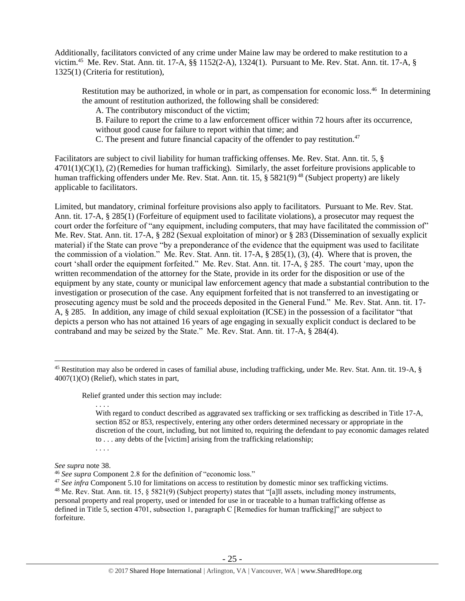Additionally, facilitators convicted of any crime under Maine law may be ordered to make restitution to a victim.<sup>45</sup> Me. Rev. Stat. Ann. tit. 17-A, §§ 1152(2-A), 1324(1). Pursuant to Me. Rev. Stat. Ann. tit. 17-A, § 1325(1) (Criteria for restitution),

Restitution may be authorized, in whole or in part, as compensation for economic loss.<sup>46</sup> In determining the amount of restitution authorized, the following shall be considered:

A. The contributory misconduct of the victim;

B. Failure to report the crime to a law enforcement officer within 72 hours after its occurrence, without good cause for failure to report within that time; and

C. The present and future financial capacity of the offender to pay restitution.<sup>47</sup>

Facilitators are subject to civil liability for human trafficking offenses. Me. Rev. Stat. Ann. tit. 5, §  $4701(1)(C)(1)$ , (2)(Remedies for human trafficking). Similarly, the asset forfeiture provisions applicable to human trafficking offenders under Me. Rev. Stat. Ann. tit. 15, § 5821(9)<sup>48</sup> (Subject property) are likely applicable to facilitators.

Limited, but mandatory, criminal forfeiture provisions also apply to facilitators. Pursuant to Me. Rev. Stat. Ann. tit. 17-A, § 285(1) (Forfeiture of equipment used to facilitate violations), a prosecutor may request the court order the forfeiture of "any equipment, including computers, that may have facilitated the commission of" Me. Rev. Stat. Ann. tit. 17-A, § 282 (Sexual exploitation of minor) or § 283 (Dissemination of sexually explicit material) if the State can prove "by a preponderance of the evidence that the equipment was used to facilitate the commission of a violation." Me. Rev. Stat. Ann. tit. 17-A, § 285(1), (3), (4). Where that is proven, the court 'shall order the equipment forfeited." Me. Rev. Stat. Ann. tit. 17-A, § 285. The court 'may, upon the written recommendation of the attorney for the State, provide in its order for the disposition or use of the equipment by any state, county or municipal law enforcement agency that made a substantial contribution to the investigation or prosecution of the case. Any equipment forfeited that is not transferred to an investigating or prosecuting agency must be sold and the proceeds deposited in the General Fund." Me. Rev. Stat. Ann. tit. 17- A, § 285. In addition, any image of child sexual exploitation (ICSE) in the possession of a facilitator "that depicts a person who has not attained 16 years of age engaging in sexually explicit conduct is declared to be contraband and may be seized by the State." Me. Rev. Stat. Ann. tit. 17-A, § 284(4).

Relief granted under this section may include:

With regard to conduct described as aggravated sex trafficking or sex trafficking as described in Title 17-A, section 852 or 853, respectively, entering any other orders determined necessary or appropriate in the discretion of the court, including, but not limited to, requiring the defendant to pay economic damages related to . . . any debts of the [victim] arising from the trafficking relationship;

*See supra* note [38.](#page-19-0)

. . . .

. . . .

<sup>45</sup> Restitution may also be ordered in cases of familial abuse, including trafficking, under Me. Rev. Stat. Ann. tit. 19-A, § 4007(1)(O) (Relief), which states in part,

<sup>46</sup> *See supra* Component 2.8 for the definition of "economic loss."

<sup>&</sup>lt;sup>47</sup> See infra Component 5.10 for limitations on access to restitution by domestic minor sex trafficking victims. <sup>48</sup> Me. Rev. Stat. Ann. tit. 15,  $\S$  5821(9) (Subject property) states that "[a]ll assets, including money instruments, personal property and real property, used or intended for use in or traceable to a human trafficking offense as defined in Title 5, section 4701, subsection 1, paragraph C [Remedies for human trafficking]" are subject to forfeiture.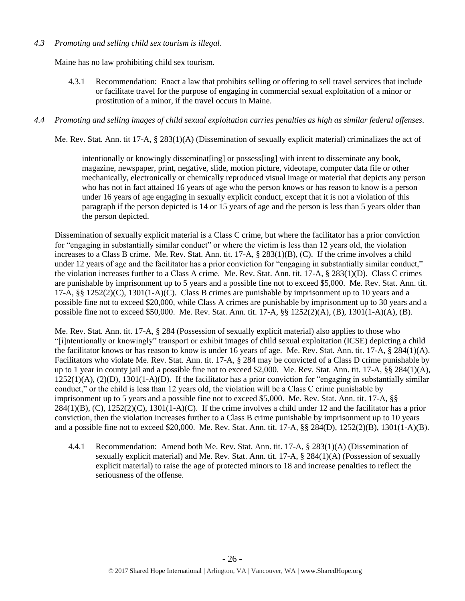## *4.3 Promoting and selling child sex tourism is illegal*.

Maine has no law prohibiting child sex tourism.

4.3.1 Recommendation: Enact a law that prohibits selling or offering to sell travel services that include or facilitate travel for the purpose of engaging in commercial sexual exploitation of a minor or prostitution of a minor, if the travel occurs in Maine.

## *4.4 Promoting and selling images of child sexual exploitation carries penalties as high as similar federal offenses.*

Me. Rev. Stat. Ann. tit 17-A, § 283(1)(A) (Dissemination of sexually explicit material) criminalizes the act of

intentionally or knowingly disseminat [ing] or possess [ing] with intent to disseminate any book, magazine, newspaper, print, negative, slide, motion picture, videotape, computer data file or other mechanically, electronically or chemically reproduced visual image or material that depicts any person who has not in fact attained 16 years of age who the person knows or has reason to know is a person under 16 years of age engaging in sexually explicit conduct, except that it is not a violation of this paragraph if the person depicted is 14 or 15 years of age and the person is less than 5 years older than the person depicted.

Dissemination of sexually explicit material is a Class C crime, but where the facilitator has a prior conviction for "engaging in substantially similar conduct" or where the victim is less than 12 years old, the violation increases to a Class B crime. Me. Rev. Stat. Ann. tit. 17-A, § 283(1)(B), (C). If the crime involves a child under 12 years of age and the facilitator has a prior conviction for "engaging in substantially similar conduct," the violation increases further to a Class A crime. Me. Rev. Stat. Ann. tit. 17-A, § 283(1)(D). Class C crimes are punishable by imprisonment up to 5 years and a possible fine not to exceed \$5,000. Me. Rev. Stat. Ann. tit. 17-A,  $\S$ § 1252(2)(C), 1301(1-A)(C). Class B crimes are punishable by imprisonment up to 10 years and a possible fine not to exceed \$20,000, while Class A crimes are punishable by imprisonment up to 30 years and a possible fine not to exceed \$50,000. Me. Rev. Stat. Ann. tit. 17-A, §§ 1252(2)(A), (B), 1301(1-A)(A), (B).

Me. Rev. Stat. Ann. tit. 17-A, § 284 (Possession of sexually explicit material) also applies to those who "[i]ntentionally or knowingly" transport or exhibit images of child sexual exploitation (ICSE) depicting a child the facilitator knows or has reason to know is under 16 years of age. Me. Rev. Stat. Ann. tit. 17-A, § 284(1)(A). Facilitators who violate Me. Rev. Stat. Ann. tit. 17-A, § 284 may be convicted of a Class D crime punishable by up to 1 year in county jail and a possible fine not to exceed \$2,000. Me. Rev. Stat. Ann. tit. 17-A, §§ 284(1)(A),  $1252(1)(A)$ ,  $(2)(D)$ ,  $1301(1-A)(D)$ . If the facilitator has a prior conviction for "engaging in substantially similar conduct," or the child is less than 12 years old, the violation will be a Class C crime punishable by imprisonment up to 5 years and a possible fine not to exceed \$5,000. Me. Rev. Stat. Ann. tit. 17-A, §§  $284(1)(B)$ , (C),  $1252(2)(C)$ ,  $1301(1-A)(C)$ . If the crime involves a child under 12 and the facilitator has a prior conviction, then the violation increases further to a Class B crime punishable by imprisonment up to 10 years and a possible fine not to exceed \$20,000. Me. Rev. Stat. Ann. tit. 17-A, §§ 284(D), 1252(2)(B), 1301(1-A)(B).

4.4.1 Recommendation: Amend both Me. Rev. Stat. Ann. tit. 17-A, § 283(1)(A) (Dissemination of sexually explicit material) and Me. Rev. Stat. Ann. tit. 17-A, § 284(1)(A) (Possession of sexually explicit material) to raise the age of protected minors to 18 and increase penalties to reflect the seriousness of the offense.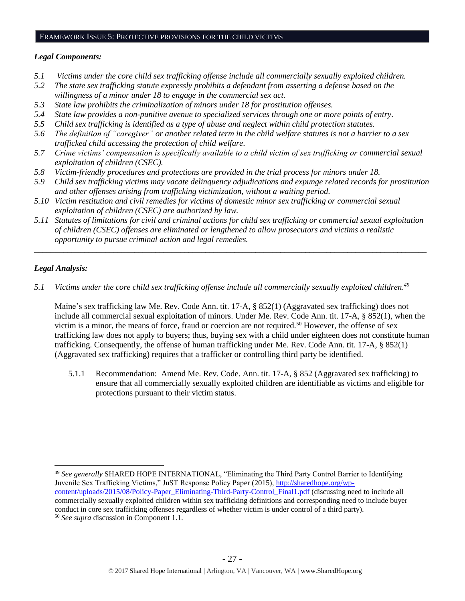#### FRAMEWORK ISSUE 5: PROTECTIVE PROVISIONS FOR THE CHILD VICTIMS

## *Legal Components:*

- *5.1 Victims under the core child sex trafficking offense include all commercially sexually exploited children.*
- *5.2 The state sex trafficking statute expressly prohibits a defendant from asserting a defense based on the willingness of a minor under 18 to engage in the commercial sex act.*
- *5.3 State law prohibits the criminalization of minors under 18 for prostitution offenses.*
- *5.4 State law provides a non-punitive avenue to specialized services through one or more points of entry.*
- *5.5 Child sex trafficking is identified as a type of abuse and neglect within child protection statutes.*
- *5.6 The definition of "caregiver" or another related term in the child welfare statutes is not a barrier to a sex trafficked child accessing the protection of child welfare.*
- *5.7 Crime victims' compensation is specifically available to a child victim of sex trafficking or commercial sexual exploitation of children (CSEC).*
- *5.8 Victim-friendly procedures and protections are provided in the trial process for minors under 18.*
- *5.9 Child sex trafficking victims may vacate delinquency adjudications and expunge related records for prostitution and other offenses arising from trafficking victimization, without a waiting period.*
- *5.10 Victim restitution and civil remedies for victims of domestic minor sex trafficking or commercial sexual exploitation of children (CSEC) are authorized by law.*
- *5.11 Statutes of limitations for civil and criminal actions for child sex trafficking or commercial sexual exploitation of children (CSEC) offenses are eliminated or lengthened to allow prosecutors and victims a realistic opportunity to pursue criminal action and legal remedies.*

*\_\_\_\_\_\_\_\_\_\_\_\_\_\_\_\_\_\_\_\_\_\_\_\_\_\_\_\_\_\_\_\_\_\_\_\_\_\_\_\_\_\_\_\_\_\_\_\_\_\_\_\_\_\_\_\_\_\_\_\_\_\_\_\_\_\_\_\_\_\_\_\_\_\_\_\_\_\_\_\_\_\_\_\_\_\_\_\_\_\_\_\_\_\_*

## *Legal Analysis:*

 $\overline{a}$ 

*5.1 Victims under the core child sex trafficking offense include all commercially sexually exploited children. 49*

Maine's sex trafficking law Me. Rev. Code Ann. tit. 17-A, § 852(1) (Aggravated sex trafficking) does not include all commercial sexual exploitation of minors. Under Me. Rev. Code Ann. tit. 17-A, § 852(1), when the victim is a minor, the means of force, fraud or coercion are not required.<sup>50</sup> However, the offense of sex trafficking law does not apply to buyers; thus, buying sex with a child under eighteen does not constitute human trafficking. Consequently, the offense of human trafficking under Me. Rev. Code Ann. tit. 17-A, § 852(1) (Aggravated sex trafficking) requires that a trafficker or controlling third party be identified.

5.1.1 Recommendation: Amend Me. Rev. Code. Ann. tit. 17-A, § 852 (Aggravated sex trafficking) to ensure that all commercially sexually exploited children are identifiable as victims and eligible for protections pursuant to their victim status.

<sup>49</sup> *See generally* SHARED HOPE INTERNATIONAL, "Eliminating the Third Party Control Barrier to Identifying Juvenile Sex Trafficking Victims," JuST Response Policy Paper (2015), [http://sharedhope.org/wp](http://sharedhope.org/wp-content/uploads/2015/08/Policy-Paper_Eliminating-Third-Party-Control_Final1.pdf)[content/uploads/2015/08/Policy-Paper\\_Eliminating-Third-Party-Control\\_Final1.pdf](http://sharedhope.org/wp-content/uploads/2015/08/Policy-Paper_Eliminating-Third-Party-Control_Final1.pdf) (discussing need to include all commercially sexually exploited children within sex trafficking definitions and corresponding need to include buyer conduct in core sex trafficking offenses regardless of whether victim is under control of a third party). <sup>50</sup> *See supra* discussion in Component 1.1.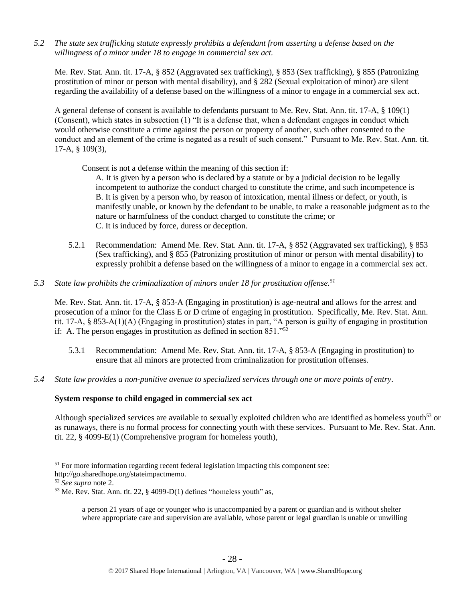*5.2 The state sex trafficking statute expressly prohibits a defendant from asserting a defense based on the willingness of a minor under 18 to engage in commercial sex act.* 

Me. Rev. Stat. Ann. tit. 17-A, § 852 (Aggravated sex trafficking), § 853 (Sex trafficking), § 855 (Patronizing prostitution of minor or person with mental disability), and § 282 (Sexual exploitation of minor) are silent regarding the availability of a defense based on the willingness of a minor to engage in a commercial sex act.

A general defense of consent is available to defendants pursuant to Me. Rev. Stat. Ann. tit. 17-A, § 109(1) (Consent), which states in subsection (1) "It is a defense that, when a defendant engages in conduct which would otherwise constitute a crime against the person or property of another, such other consented to the conduct and an element of the crime is negated as a result of such consent." Pursuant to Me. Rev. Stat. Ann. tit. 17-A, § 109(3),

Consent is not a defense within the meaning of this section if:

A. It is given by a person who is declared by a statute or by a judicial decision to be legally incompetent to authorize the conduct charged to constitute the crime, and such incompetence is B. It is given by a person who, by reason of intoxication, mental illness or defect, or youth, is manifestly unable, or known by the defendant to be unable, to make a reasonable judgment as to the nature or harmfulness of the conduct charged to constitute the crime; or C. It is induced by force, duress or deception.

- 5.2.1 Recommendation: Amend Me. Rev. Stat. Ann. tit. 17-A, § 852 (Aggravated sex trafficking), § 853 (Sex trafficking), and § 855 (Patronizing prostitution of minor or person with mental disability) to expressly prohibit a defense based on the willingness of a minor to engage in a commercial sex act.
- *5.3 State law prohibits the criminalization of minors under 18 for prostitution offense.<sup>51</sup>*

Me. Rev. Stat. Ann. tit. 17-A, § 853-A (Engaging in prostitution) is age-neutral and allows for the arrest and prosecution of a minor for the Class E or D crime of engaging in prostitution. Specifically, Me. Rev. Stat. Ann. tit. 17-A, § 853-A(1)(A) (Engaging in prostitution) states in part, "A person is guilty of engaging in prostitution if: A. The person engages in prostitution as defined in section 851."<sup>52</sup>

- 5.3.1 Recommendation: Amend Me. Rev. Stat. Ann. tit. 17-A, § 853-A (Engaging in prostitution) to ensure that all minors are protected from criminalization for prostitution offenses.
- *5.4 State law provides a non-punitive avenue to specialized services through one or more points of entry.*

# **System response to child engaged in commercial sex act**

Although specialized services are available to sexually exploited children who are identified as homeless youth<sup>53</sup> or as runaways, there is no formal process for connecting youth with these services. Pursuant to Me. Rev. Stat. Ann. tit. 22, § 4099-E(1) (Comprehensive program for homeless youth),

 $51$  For more information regarding recent federal legislation impacting this component see:

http://go.sharedhope.org/stateimpactmemo.

<sup>52</sup> *See supra* note [2.](#page-0-0)

 $53$  Me. Rev. Stat. Ann. tit. 22,  $\S$  4099-D(1) defines "homeless youth" as,

a person 21 years of age or younger who is unaccompanied by a parent or guardian and is without shelter where appropriate care and supervision are available, whose parent or legal guardian is unable or unwilling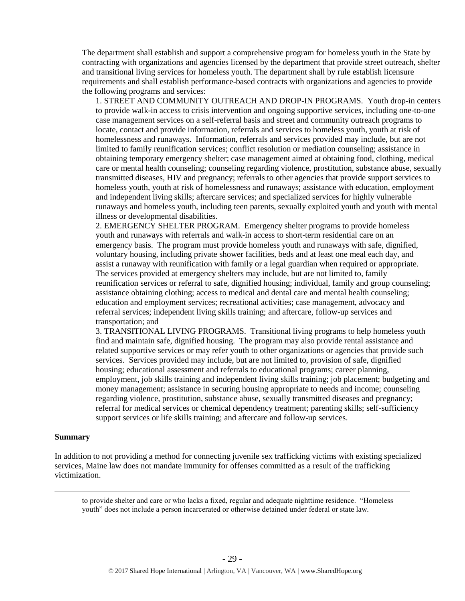The department shall establish and support a comprehensive program for homeless youth in the State by contracting with organizations and agencies licensed by the department that provide street outreach, shelter and transitional living services for homeless youth. The department shall by rule establish licensure requirements and shall establish performance-based contracts with organizations and agencies to provide the following programs and services:

1. STREET AND COMMUNITY OUTREACH AND DROP-IN PROGRAMS. Youth drop-in centers to provide walk-in access to crisis intervention and ongoing supportive services, including one-to-one case management services on a self-referral basis and street and community outreach programs to locate, contact and provide information, referrals and services to homeless youth, youth at risk of homelessness and runaways. Information, referrals and services provided may include, but are not limited to family reunification services; conflict resolution or mediation counseling; assistance in obtaining temporary emergency shelter; case management aimed at obtaining food, clothing, medical care or mental health counseling; counseling regarding violence, prostitution, substance abuse, sexually transmitted diseases, HIV and pregnancy; referrals to other agencies that provide support services to homeless youth, youth at risk of homelessness and runaways; assistance with education, employment and independent living skills; aftercare services; and specialized services for highly vulnerable runaways and homeless youth, including teen parents, sexually exploited youth and youth with mental illness or developmental disabilities.

2. EMERGENCY SHELTER PROGRAM. Emergency shelter programs to provide homeless youth and runaways with referrals and walk-in access to short-term residential care on an emergency basis. The program must provide homeless youth and runaways with safe, dignified, voluntary housing, including private shower facilities, beds and at least one meal each day, and assist a runaway with reunification with family or a legal guardian when required or appropriate. The services provided at emergency shelters may include, but are not limited to, family reunification services or referral to safe, dignified housing; individual, family and group counseling; assistance obtaining clothing; access to medical and dental care and mental health counseling; education and employment services; recreational activities; case management, advocacy and referral services; independent living skills training; and aftercare, follow-up services and transportation; and

3. TRANSITIONAL LIVING PROGRAMS. Transitional living programs to help homeless youth find and maintain safe, dignified housing. The program may also provide rental assistance and related supportive services or may refer youth to other organizations or agencies that provide such services. Services provided may include, but are not limited to, provision of safe, dignified housing; educational assessment and referrals to educational programs; career planning, employment, job skills training and independent living skills training; job placement; budgeting and money management; assistance in securing housing appropriate to needs and income; counseling regarding violence, prostitution, substance abuse, sexually transmitted diseases and pregnancy; referral for medical services or chemical dependency treatment; parenting skills; self-sufficiency support services or life skills training; and aftercare and follow-up services.

#### **Summary**

 $\overline{a}$ 

In addition to not providing a method for connecting juvenile sex trafficking victims with existing specialized services, Maine law does not mandate immunity for offenses committed as a result of the trafficking victimization.

to provide shelter and care or who lacks a fixed, regular and adequate nighttime residence. "Homeless youth" does not include a person incarcerated or otherwise detained under federal or state law.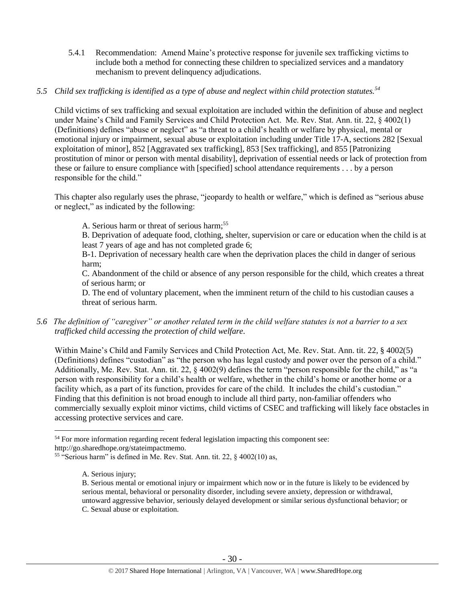5.4.1 Recommendation: Amend Maine's protective response for juvenile sex trafficking victims to include both a method for connecting these children to specialized services and a mandatory mechanism to prevent delinquency adjudications.

# *5.5 Child sex trafficking is identified as a type of abuse and neglect within child protection statutes.<sup>54</sup>*

Child victims of sex trafficking and sexual exploitation are included within the definition of abuse and neglect under Maine's Child and Family Services and Child Protection Act. Me. Rev. Stat. Ann. tit. 22, § 4002(1) (Definitions) defines "abuse or neglect" as "a threat to a child's health or welfare by physical, mental or emotional injury or impairment, sexual abuse or exploitation including under Title 17-A, sections 282 [Sexual exploitation of minor], 852 [Aggravated sex trafficking], 853 [Sex trafficking], and 855 [Patronizing prostitution of minor or person with mental disability], deprivation of essential needs or lack of protection from these or failure to ensure compliance with [specified] school attendance requirements . . . by a person responsible for the child."

This chapter also regularly uses the phrase, "jeopardy to health or welfare," which is defined as "serious abuse or neglect," as indicated by the following:

A. Serious harm or threat of serious harm; 55

B. Deprivation of adequate food, clothing, shelter, supervision or care or education when the child is at least 7 years of age and has not completed grade 6;

B-1. Deprivation of necessary health care when the deprivation places the child in danger of serious harm;

C. Abandonment of the child or absence of any person responsible for the child, which creates a threat of serious harm; or

D. The end of voluntary placement, when the imminent return of the child to his custodian causes a threat of serious harm.

*5.6 The definition of "caregiver" or another related term in the child welfare statutes is not a barrier to a sex trafficked child accessing the protection of child welfare.*

Within Maine's Child and Family Services and Child Protection Act, Me. Rev. Stat. Ann. tit. 22, § 4002(5) (Definitions) defines "custodian" as "the person who has legal custody and power over the person of a child." Additionally, Me. Rev. Stat. Ann. tit. 22, § 4002(9) defines the term "person responsible for the child," as "a person with responsibility for a child's health or welfare, whether in the child's home or another home or a facility which, as a part of its function, provides for care of the child. It includes the child's custodian." Finding that this definition is not broad enough to include all third party, non-familiar offenders who commercially sexually exploit minor victims, child victims of CSEC and trafficking will likely face obstacles in accessing protective services and care.

<sup>&</sup>lt;sup>54</sup> For more information regarding recent federal legislation impacting this component see:

http://go.sharedhope.org/stateimpactmemo.

<sup>&</sup>lt;sup>55</sup> "Serious harm" is defined in Me. Rev. Stat. Ann. tit. 22, § 4002(10) as,

A. Serious injury;

B. Serious mental or emotional injury or impairment which now or in the future is likely to be evidenced by serious mental, behavioral or personality disorder, including severe anxiety, depression or withdrawal, untoward aggressive behavior, seriously delayed development or similar serious dysfunctional behavior; or C. Sexual abuse or exploitation.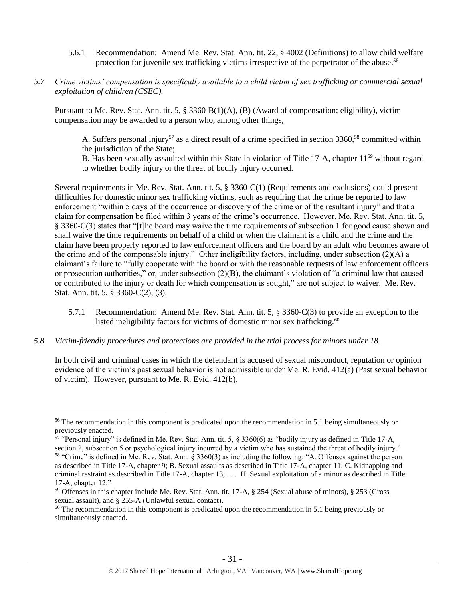- 5.6.1 Recommendation: Amend Me. Rev. Stat. Ann. tit. 22, § 4002 (Definitions) to allow child welfare protection for juvenile sex trafficking victims irrespective of the perpetrator of the abuse.<sup>56</sup>
- *5.7 Crime victims' compensation is specifically available to a child victim of sex trafficking or commercial sexual exploitation of children (CSEC).*

Pursuant to Me. Rev. Stat. Ann. tit. 5, § 3360-B(1)(A), (B) (Award of compensation; eligibility), victim compensation may be awarded to a person who, among other things,

A. Suffers personal injury<sup>57</sup> as a direct result of a crime specified in section 3360,<sup>58</sup> committed within the jurisdiction of the State;

B. Has been sexually assaulted within this State in violation of Title 17-A, chapter  $11^{59}$  without regard to whether bodily injury or the threat of bodily injury occurred.

Several requirements in Me. Rev. Stat. Ann. tit. 5, § 3360-C(1) (Requirements and exclusions) could present difficulties for domestic minor sex trafficking victims, such as requiring that the crime be reported to law enforcement "within 5 days of the occurrence or discovery of the crime or of the resultant injury" and that a claim for compensation be filed within 3 years of the crime's occurrence. However, Me. Rev. Stat. Ann. tit. 5, § 3360-C(3) states that "[t]he board may waive the time requirements of subsection 1 for good cause shown and shall waive the time requirements on behalf of a child or when the claimant is a child and the crime and the claim have been properly reported to law enforcement officers and the board by an adult who becomes aware of the crime and of the compensable injury." Other ineligibility factors, including, under subsection (2)(A) a claimant's failure to "fully cooperate with the board or with the reasonable requests of law enforcement officers or prosecution authorities," or, under subsection  $(2)(B)$ , the claimant's violation of "a criminal law that caused or contributed to the injury or death for which compensation is sought," are not subject to waiver. Me. Rev. Stat. Ann. tit. 5, § 3360-C(2), (3).

- 5.7.1 Recommendation: Amend Me. Rev. Stat. Ann. tit. 5, § 3360-C(3) to provide an exception to the listed ineligibility factors for victims of domestic minor sex trafficking.<sup>60</sup>
- *5.8 Victim-friendly procedures and protections are provided in the trial process for minors under 18.*

 $\overline{a}$ 

In both civil and criminal cases in which the defendant is accused of sexual misconduct, reputation or opinion evidence of the victim's past sexual behavior is not admissible under Me. R. Evid. 412(a) (Past sexual behavior of victim). However, pursuant to Me. R. Evid. 412(b),

<sup>&</sup>lt;sup>56</sup> The recommendation in this component is predicated upon the recommendation in 5.1 being simultaneously or previously enacted.

 $57$  "Personal injury" is defined in Me. Rev. Stat. Ann. tit. 5,  $\S$  3360(6) as "bodily injury as defined in Title 17-A, section 2, subsection 5 or psychological injury incurred by a victim who has sustained the threat of bodily injury."

<sup>58</sup> "Crime" is defined in Me. Rev. Stat. Ann. § 3360(3) as including the following: "A. Offenses against the person as described in Title 17-A, chapter 9; B. Sexual assaults as described in Title 17-A, chapter 11; C. Kidnapping and criminal restraint as described in Title 17-A, chapter 13; . . . H. Sexual exploitation of a minor as described in Title 17-A, chapter 12."

<sup>59</sup> Offenses in this chapter include Me. Rev. Stat. Ann. tit. 17-A, § 254 (Sexual abuse of minors), § 253 (Gross sexual assault), and § 255-A (Unlawful sexual contact).

 $60$  The recommendation in this component is predicated upon the recommendation in 5.1 being previously or simultaneously enacted.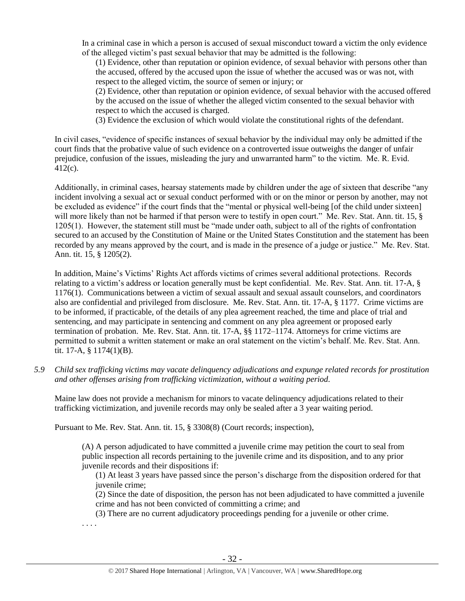In a criminal case in which a person is accused of sexual misconduct toward a victim the only evidence of the alleged victim's past sexual behavior that may be admitted is the following:

(1) Evidence, other than reputation or opinion evidence, of sexual behavior with persons other than the accused, offered by the accused upon the issue of whether the accused was or was not, with respect to the alleged victim, the source of semen or injury; or

(2) Evidence, other than reputation or opinion evidence, of sexual behavior with the accused offered by the accused on the issue of whether the alleged victim consented to the sexual behavior with respect to which the accused is charged.

(3) Evidence the exclusion of which would violate the constitutional rights of the defendant.

In civil cases, "evidence of specific instances of sexual behavior by the individual may only be admitted if the court finds that the probative value of such evidence on a controverted issue outweighs the danger of unfair prejudice, confusion of the issues, misleading the jury and unwarranted harm" to the victim. Me. R. Evid. 412(c).

Additionally, in criminal cases, hearsay statements made by children under the age of sixteen that describe "any incident involving a sexual act or sexual conduct performed with or on the minor or person by another, may not be excluded as evidence" if the court finds that the "mental or physical well-being [of the child under sixteen] will more likely than not be harmed if that person were to testify in open court." Me. Rev. Stat. Ann. tit. 15, § 1205(1). However, the statement still must be "made under oath, subject to all of the rights of confrontation secured to an accused by the Constitution of Maine or the United States Constitution and the statement has been recorded by any means approved by the court, and is made in the presence of a judge or justice." Me. Rev. Stat. Ann. tit. 15, § 1205(2).

In addition, Maine's Victims' Rights Act affords victims of crimes several additional protections. Records relating to a victim's address or location generally must be kept confidential. Me. Rev. Stat. Ann. tit. 17-A, § 1176(1). Communications between a victim of sexual assault and sexual assault counselors, and coordinators also are confidential and privileged from disclosure. Me. Rev. Stat. Ann. tit. 17-A, § 1177. Crime victims are to be informed, if practicable, of the details of any plea agreement reached, the time and place of trial and sentencing, and may participate in sentencing and comment on any plea agreement or proposed early termination of probation. Me. Rev. Stat. Ann. tit. 17-A, §§ 1172–1174. Attorneys for crime victims are permitted to submit a written statement or make an oral statement on the victim's behalf. Me. Rev. Stat. Ann. tit. 17-A, § 1174(1)(B).

*5.9 Child sex trafficking victims may vacate delinquency adjudications and expunge related records for prostitution and other offenses arising from trafficking victimization, without a waiting period.*

Maine law does not provide a mechanism for minors to vacate delinquency adjudications related to their trafficking victimization, and juvenile records may only be sealed after a 3 year waiting period.

Pursuant to Me. Rev. Stat. Ann. tit. 15, § 3308(8) (Court records; inspection),

(A) A person adjudicated to have committed a juvenile crime may petition the court to seal from public inspection all records pertaining to the juvenile crime and its disposition, and to any prior juvenile records and their dispositions if:

(1) At least 3 years have passed since the person's discharge from the disposition ordered for that juvenile crime;

(2) Since the date of disposition, the person has not been adjudicated to have committed a juvenile crime and has not been convicted of committing a crime; and

(3) There are no current adjudicatory proceedings pending for a juvenile or other crime.

. . . .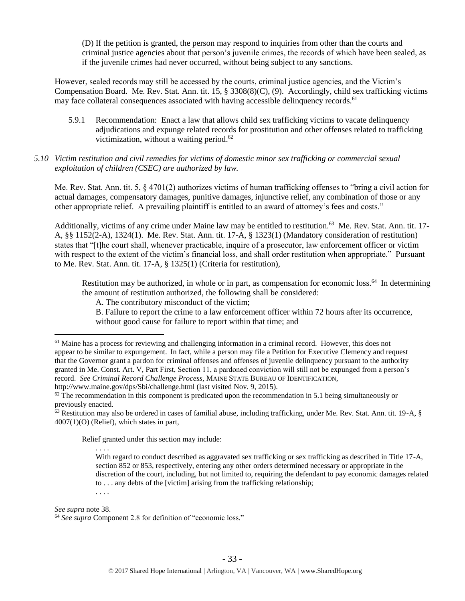(D) If the petition is granted, the person may respond to inquiries from other than the courts and criminal justice agencies about that person's juvenile crimes, the records of which have been sealed, as if the juvenile crimes had never occurred, without being subject to any sanctions.

However, sealed records may still be accessed by the courts, criminal justice agencies, and the Victim's Compensation Board. Me. Rev. Stat. Ann. tit. 15, § 3308(8)(C), (9). Accordingly, child sex trafficking victims may face collateral consequences associated with having accessible delinquency records.<sup>61</sup>

- 5.9.1 Recommendation: Enact a law that allows child sex trafficking victims to vacate delinquency adjudications and expunge related records for prostitution and other offenses related to trafficking victimization, without a waiting period. 62
- *5.10 Victim restitution and civil remedies for victims of domestic minor sex trafficking or commercial sexual exploitation of children (CSEC) are authorized by law.*

Me. Rev. Stat. Ann. tit. 5, § 4701(2) authorizes victims of human trafficking offenses to "bring a civil action for actual damages, compensatory damages, punitive damages, injunctive relief, any combination of those or any other appropriate relief. A prevailing plaintiff is entitled to an award of attorney's fees and costs."

Additionally, victims of any crime under Maine law may be entitled to restitution.<sup>63</sup> Me. Rev. Stat. Ann. tit. 17-A, §§ 1152(2-A), 1324(1). Me. Rev. Stat. Ann. tit. 17-A, § 1323(1) (Mandatory consideration of restitution) states that "[t]he court shall, whenever practicable, inquire of a prosecutor, law enforcement officer or victim with respect to the extent of the victim's financial loss, and shall order restitution when appropriate." Pursuant to Me. Rev. Stat. Ann. tit. 17-A, § 1325(1) (Criteria for restitution),

Restitution may be authorized, in whole or in part, as compensation for economic loss.<sup>64</sup> In determining the amount of restitution authorized, the following shall be considered:

A. The contributory misconduct of the victim;

B. Failure to report the crime to a law enforcement officer within 72 hours after its occurrence, without good cause for failure to report within that time; and

Relief granted under this section may include:

With regard to conduct described as aggravated sex trafficking or sex trafficking as described in Title 17-A, section 852 or 853, respectively, entering any other orders determined necessary or appropriate in the discretion of the court, including, but not limited to, requiring the defendant to pay economic damages related to . . . any debts of the [victim] arising from the trafficking relationship; . . . .

*See supra* note [38.](#page-19-0)

. . . .

<sup>&</sup>lt;sup>61</sup> Maine has a process for reviewing and challenging information in a criminal record. However, this does not appear to be similar to expungement. In fact, while a person may file a Petition for Executive Clemency and request that the Governor grant a pardon for criminal offenses and offenses of juvenile delinquency pursuant to the authority granted in Me. Const. Art. V, Part First, Section 11, a pardoned conviction will still not be expunged from a person's record. *See Criminal Record Challenge Process*, MAINE STATE BUREAU OF IDENTIFICATION, http://www.maine.gov/dps/Sbi/challenge.html (last visited Nov. 9, 2015).

 $62$  The recommendation in this component is predicated upon the recommendation in 5.1 being simultaneously or previously enacted.

 $63$  Restitution may also be ordered in cases of familial abuse, including trafficking, under Me. Rev. Stat. Ann. tit. 19-A,  $\S$ 4007(1)(O) (Relief), which states in part,

<sup>64</sup> *See supra* Component 2.8 for definition of "economic loss."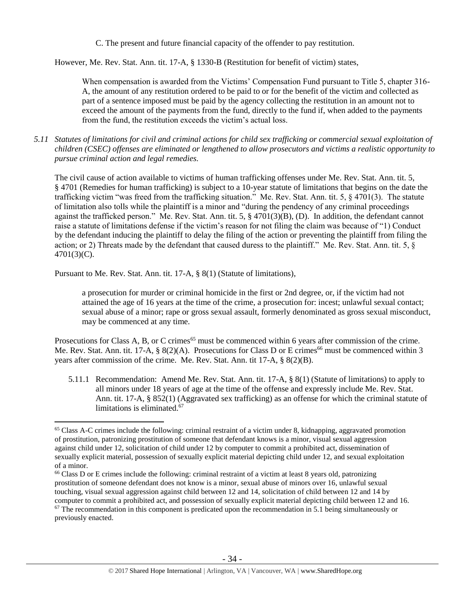C. The present and future financial capacity of the offender to pay restitution.

However, Me. Rev. Stat. Ann. tit. 17-A, § 1330-B (Restitution for benefit of victim) states,

When compensation is awarded from the Victims' Compensation Fund pursuant to Title 5, chapter 316-A, the amount of any restitution ordered to be paid to or for the benefit of the victim and collected as part of a sentence imposed must be paid by the agency collecting the restitution in an amount not to exceed the amount of the payments from the fund, directly to the fund if, when added to the payments from the fund, the restitution exceeds the victim's actual loss.

*5.11 Statutes of limitations for civil and criminal actions for child sex trafficking or commercial sexual exploitation of children (CSEC) offenses are eliminated or lengthened to allow prosecutors and victims a realistic opportunity to pursue criminal action and legal remedies.*

The civil cause of action available to victims of human trafficking offenses under Me. Rev. Stat. Ann. tit. 5, § 4701 (Remedies for human trafficking) is subject to a 10-year statute of limitations that begins on the date the trafficking victim "was freed from the trafficking situation." Me. Rev. Stat. Ann. tit. 5, § 4701(3). The statute of limitation also tolls while the plaintiff is a minor and "during the pendency of any criminal proceedings against the trafficked person." Me. Rev. Stat. Ann. tit. 5, § 4701(3)(B), (D). In addition, the defendant cannot raise a statute of limitations defense if the victim's reason for not filing the claim was because of "1) Conduct by the defendant inducing the plaintiff to delay the filing of the action or preventing the plaintiff from filing the action; or 2) Threats made by the defendant that caused duress to the plaintiff." Me. Rev. Stat. Ann. tit. 5, § 4701(3)(C).

Pursuant to Me. Rev. Stat. Ann. tit. 17-A, § 8(1) (Statute of limitations),

 $\overline{a}$ 

a prosecution for murder or criminal homicide in the first or 2nd degree, or, if the victim had not attained the age of 16 years at the time of the crime, a prosecution for: incest; unlawful sexual contact; sexual abuse of a minor; rape or gross sexual assault, formerly denominated as gross sexual misconduct, may be commenced at any time.

Prosecutions for Class A, B, or C crimes<sup>65</sup> must be commenced within 6 years after commission of the crime. Me. Rev. Stat. Ann. tit. 17-A, § 8(2)(A). Prosecutions for Class D or E crimes<sup>66</sup> must be commenced within 3 years after commission of the crime. Me. Rev. Stat. Ann. tit 17-A, § 8(2)(B).

5.11.1 Recommendation: Amend Me. Rev. Stat. Ann. tit. 17-A, § 8(1) (Statute of limitations) to apply to all minors under 18 years of age at the time of the offense and expressly include Me. Rev. Stat. Ann. tit. 17-A, § 852(1) (Aggravated sex trafficking) as an offense for which the criminal statute of limitations is eliminated.<sup>67</sup>

<sup>&</sup>lt;sup>65</sup> Class A-C crimes include the following: criminal restraint of a victim under 8, kidnapping, aggravated promotion of prostitution, patronizing prostitution of someone that defendant knows is a minor, visual sexual aggression against child under 12, solicitation of child under 12 by computer to commit a prohibited act, dissemination of sexually explicit material, possession of sexually explicit material depicting child under 12, and sexual exploitation of a minor.

<sup>66</sup> Class D or E crimes include the following: criminal restraint of a victim at least 8 years old, patronizing prostitution of someone defendant does not know is a minor, sexual abuse of minors over 16, unlawful sexual touching, visual sexual aggression against child between 12 and 14, solicitation of child between 12 and 14 by computer to commit a prohibited act, and possession of sexually explicit material depicting child between 12 and 16.

 $67$  The recommendation in this component is predicated upon the recommendation in 5.1 being simultaneously or previously enacted.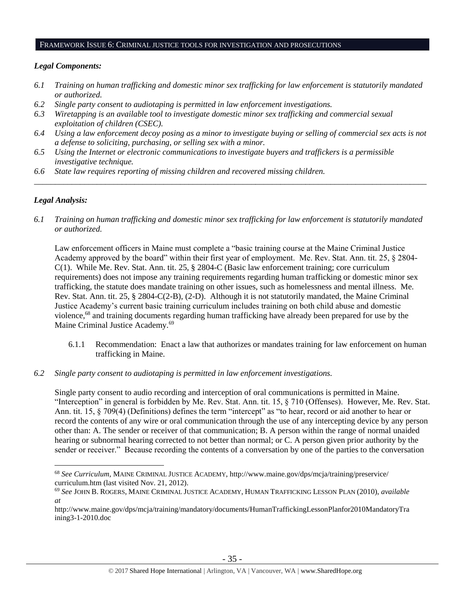#### FRAMEWORK ISSUE 6: CRIMINAL JUSTICE TOOLS FOR INVESTIGATION AND PROSECUTIONS

#### *Legal Components:*

- *6.1 Training on human trafficking and domestic minor sex trafficking for law enforcement is statutorily mandated or authorized.*
- *6.2 Single party consent to audiotaping is permitted in law enforcement investigations.*
- *6.3 Wiretapping is an available tool to investigate domestic minor sex trafficking and commercial sexual exploitation of children (CSEC).*
- *6.4 Using a law enforcement decoy posing as a minor to investigate buying or selling of commercial sex acts is not a defense to soliciting, purchasing, or selling sex with a minor.*

*\_\_\_\_\_\_\_\_\_\_\_\_\_\_\_\_\_\_\_\_\_\_\_\_\_\_\_\_\_\_\_\_\_\_\_\_\_\_\_\_\_\_\_\_\_\_\_\_\_\_\_\_\_\_\_\_\_\_\_\_\_\_\_\_\_\_\_\_\_\_\_\_\_\_\_\_\_\_\_\_\_\_\_\_\_\_\_\_\_\_\_\_\_\_*

- *6.5 Using the Internet or electronic communications to investigate buyers and traffickers is a permissible investigative technique.*
- *6.6 State law requires reporting of missing children and recovered missing children.*

## *Legal Analysis:*

 $\overline{a}$ 

*6.1 Training on human trafficking and domestic minor sex trafficking for law enforcement is statutorily mandated or authorized.*

Law enforcement officers in Maine must complete a "basic training course at the Maine Criminal Justice Academy approved by the board" within their first year of employment. Me. Rev. Stat. Ann. tit. 25, § 2804- C(1). While Me. Rev. Stat. Ann. tit. 25, § 2804-C (Basic law enforcement training; core curriculum requirements) does not impose any training requirements regarding human trafficking or domestic minor sex trafficking, the statute does mandate training on other issues, such as homelessness and mental illness. Me. Rev. Stat. Ann. tit. 25, § 2804-C(2-B), (2-D). Although it is not statutorily mandated, the Maine Criminal Justice Academy's current basic training curriculum includes training on both child abuse and domestic violence,<sup>68</sup> and training documents regarding human trafficking have already been prepared for use by the Maine Criminal Justice Academy.<sup>69</sup>

- 6.1.1 Recommendation: Enact a law that authorizes or mandates training for law enforcement on human trafficking in Maine.
- *6.2 Single party consent to audiotaping is permitted in law enforcement investigations.*

Single party consent to audio recording and interception of oral communications is permitted in Maine. "Interception" in general is forbidden by Me. Rev. Stat. Ann. tit. 15, § 710 (Offenses). However, Me. Rev. Stat. Ann. tit. 15, § 709(4) (Definitions) defines the term "intercept" as "to hear, record or aid another to hear or record the contents of any wire or oral communication through the use of any intercepting device by any person other than: A. The sender or receiver of that communication; B. A person within the range of normal unaided hearing or subnormal hearing corrected to not better than normal; or C. A person given prior authority by the sender or receiver." Because recording the contents of a conversation by one of the parties to the conversation

<sup>68</sup> *See Curriculum*, MAINE CRIMINAL JUSTICE ACADEMY, http://www.maine.gov/dps/mcja/training/preservice/ curriculum.htm (last visited Nov. 21, 2012).

<sup>69</sup> *See* JOHN B. ROGERS, MAINE CRIMINAL JUSTICE ACADEMY, HUMAN TRAFFICKING LESSON PLAN (2010), *available at*

http://www.maine.gov/dps/mcja/training/mandatory/documents/HumanTraffickingLessonPlanfor2010MandatoryTra ining3-1-2010.doc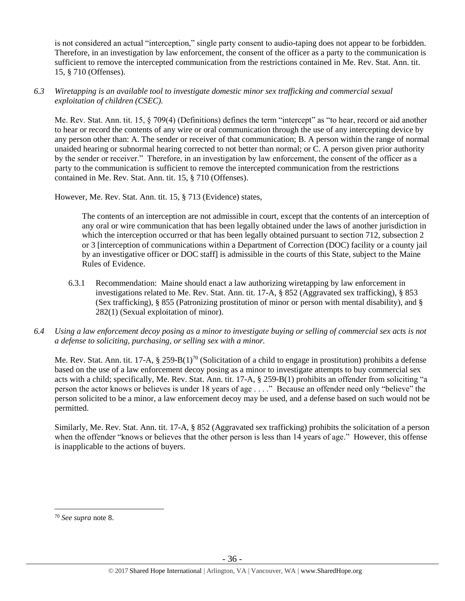is not considered an actual "interception," single party consent to audio-taping does not appear to be forbidden. Therefore, in an investigation by law enforcement, the consent of the officer as a party to the communication is sufficient to remove the intercepted communication from the restrictions contained in Me. Rev. Stat. Ann. tit. 15, § 710 (Offenses).

## *6.3 Wiretapping is an available tool to investigate domestic minor sex trafficking and commercial sexual exploitation of children (CSEC).*

Me. Rev. Stat. Ann. tit. 15, § 709(4) (Definitions) defines the term "intercept" as "to hear, record or aid another to hear or record the contents of any wire or oral communication through the use of any intercepting device by any person other than: A. The sender or receiver of that communication; B. A person within the range of normal unaided hearing or subnormal hearing corrected to not better than normal; or C. A person given prior authority by the sender or receiver." Therefore, in an investigation by law enforcement, the consent of the officer as a party to the communication is sufficient to remove the intercepted communication from the restrictions contained in Me. Rev. Stat. Ann. tit. 15, § 710 (Offenses).

However, Me. Rev. Stat. Ann. tit. 15, § 713 (Evidence) states,

The contents of an interception are not admissible in court, except that the contents of an interception of any oral or wire communication that has been legally obtained under the laws of another jurisdiction in which the interception occurred or that has been legally obtained pursuant to section 712, subsection 2 or 3 [interception of communications within a Department of Correction (DOC) facility or a county jail by an investigative officer or DOC staff] is admissible in the courts of this State, subject to the Maine Rules of Evidence.

- 6.3.1 Recommendation: Maine should enact a law authorizing wiretapping by law enforcement in investigations related to Me. Rev. Stat. Ann. tit. 17-A, § 852 (Aggravated sex trafficking), § 853 (Sex trafficking), § 855 (Patronizing prostitution of minor or person with mental disability), and § 282(1) (Sexual exploitation of minor).
- *6.4 Using a law enforcement decoy posing as a minor to investigate buying or selling of commercial sex acts is not a defense to soliciting, purchasing, or selling sex with a minor.*

Me. Rev. Stat. Ann. tit. 17-A,  $\S 259-B(1)^{70}$  (Solicitation of a child to engage in prostitution) prohibits a defense based on the use of a law enforcement decoy posing as a minor to investigate attempts to buy commercial sex acts with a child; specifically, Me. Rev. Stat. Ann. tit. 17-A, § 259-B(1) prohibits an offender from soliciting "a person the actor knows or believes is under 18 years of age . . . ." Because an offender need only "believe" the person solicited to be a minor, a law enforcement decoy may be used, and a defense based on such would not be permitted.

Similarly, Me. Rev. Stat. Ann. tit. 17-A, § 852 (Aggravated sex trafficking) prohibits the solicitation of a person when the offender "knows or believes that the other person is less than 14 years of age." However, this offense is inapplicable to the actions of buyers.

<sup>70</sup> *See supra* note [8.](#page-4-0)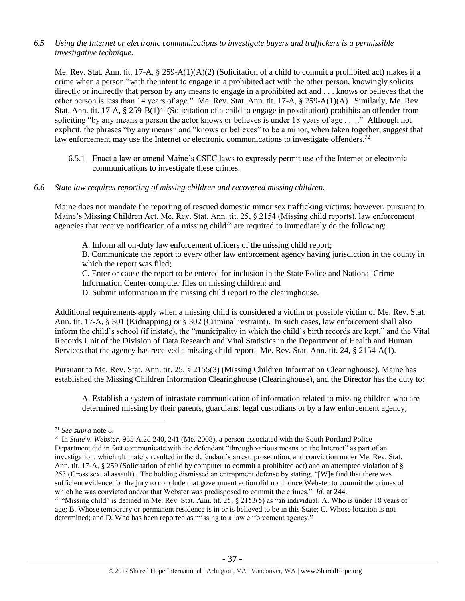## *6.5 Using the Internet or electronic communications to investigate buyers and traffickers is a permissible investigative technique.*

Me. Rev. Stat. Ann. tit. 17-A, § 259-A(1)(A)(2) (Solicitation of a child to commit a prohibited act) makes it a crime when a person "with the intent to engage in a prohibited act with the other person, knowingly solicits directly or indirectly that person by any means to engage in a prohibited act and . . . knows or believes that the other person is less than 14 years of age." Me. Rev. Stat. Ann. tit. 17-A, § 259-A(1)(A). Similarly, Me. Rev. Stat. Ann. tit. 17-A,  $\S 259-B(1)^{71}$  (Solicitation of a child to engage in prostitution) prohibits an offender from soliciting "by any means a person the actor knows or believes is under 18 years of age . . . ." Although not explicit, the phrases "by any means" and "knows or believes" to be a minor, when taken together, suggest that law enforcement may use the Internet or electronic communications to investigate offenders.<sup>72</sup>

6.5.1 Enact a law or amend Maine's CSEC laws to expressly permit use of the Internet or electronic communications to investigate these crimes.

## *6.6 State law requires reporting of missing children and recovered missing children.*

Maine does not mandate the reporting of rescued domestic minor sex trafficking victims; however, pursuant to Maine's Missing Children Act, Me. Rev. Stat. Ann. tit. 25, § 2154 (Missing child reports), law enforcement agencies that receive notification of a missing child<sup>73</sup> are required to immediately do the following:

A. Inform all on-duty law enforcement officers of the missing child report; B. Communicate the report to every other law enforcement agency having jurisdiction in the county in which the report was filed;

C. Enter or cause the report to be entered for inclusion in the State Police and National Crime Information Center computer files on missing children; and

D. Submit information in the missing child report to the clearinghouse.

Additional requirements apply when a missing child is considered a victim or possible victim of Me. Rev. Stat. Ann. tit. 17-A, § 301 (Kidnapping) or § 302 (Criminal restraint). In such cases, law enforcement shall also inform the child's school (if instate), the "municipality in which the child's birth records are kept," and the Vital Records Unit of the Division of Data Research and Vital Statistics in the Department of Health and Human Services that the agency has received a missing child report. Me. Rev. Stat. Ann. tit. 24, § 2154-A(1).

Pursuant to Me. Rev. Stat. Ann. tit. 25, § 2155(3) (Missing Children Information Clearinghouse), Maine has established the Missing Children Information Clearinghouse (Clearinghouse), and the Director has the duty to:

A. Establish a system of intrastate communication of information related to missing children who are determined missing by their parents, guardians, legal custodians or by a law enforcement agency;

 $\overline{a}$ <sup>71</sup> *See supra* note [8.](#page-4-0)

<sup>72</sup> In *State v. Webster*, 955 A.2d 240, 241 (Me. 2008), a person associated with the South Portland Police Department did in fact communicate with the defendant "through various means on the Internet" as part of an investigation, which ultimately resulted in the defendant's arrest, prosecution, and conviction under Me. Rev. Stat. Ann. tit. 17-A, § 259 (Solicitation of child by computer to commit a prohibited act) and an attempted violation of § 253 (Gross sexual assault). The holding dismissed an entrapment defense by stating, "[W]e find that there was sufficient evidence for the jury to conclude that government action did not induce Webster to commit the crimes of which he was convicted and/or that Webster was predisposed to commit the crimes." *Id.* at 244.

<sup>73</sup> "Missing child" is defined in Me. Rev. Stat. Ann. tit. 25, § 2153(5) as "an individual: A. Who is under 18 years of age; B. Whose temporary or permanent residence is in or is believed to be in this State; C. Whose location is not determined; and D. Who has been reported as missing to a law enforcement agency."